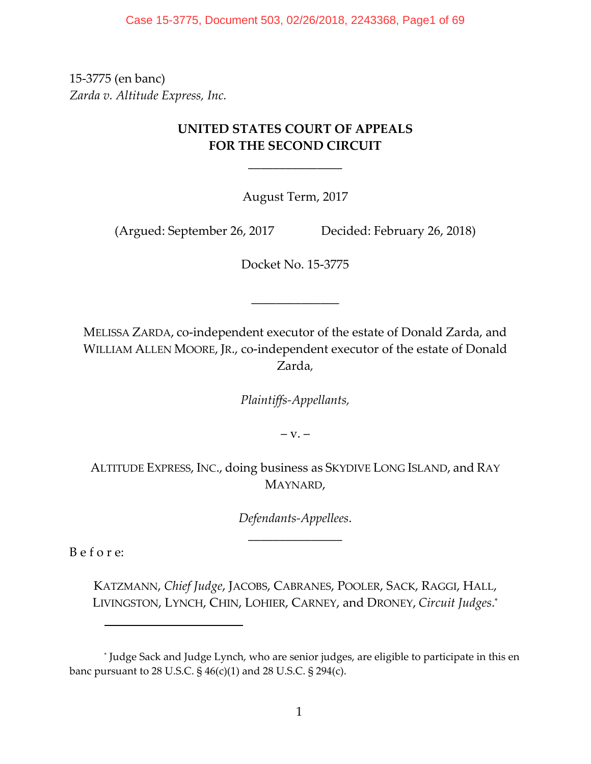Case 15-3775, Document 503, 02/26/2018, 2243368, Page1 of 69

15‐3775 (en banc) *Zarda v. Altitude Express, Inc.*

# **UNITED STATES COURT OF APPEALS FOR THE SECOND CIRCUIT**

\_\_\_\_\_\_\_\_\_\_\_\_\_\_\_

August Term, 2017

(Argued: September 26, 2017 Decided: February 26, 2018)

Docket No. 15‐3775

\_\_\_\_\_\_\_\_\_\_\_\_\_\_

MELISSA ZARDA, co‐independent executor of the estate of Donald Zarda, and WILLIAM ALLEN MOORE, JR., co-independent executor of the estate of Donald Zarda*,*

*Plaintiffs‐Appellants,*

 $-V. -$ 

ALTITUDE EXPRESS, INC., doing business as SKYDIVE LONG ISLAND, and RAY MAYNARD,

> *Defendants‐Appellees*. \_\_\_\_\_\_\_\_\_\_\_\_\_\_\_

B e f o r e:

KATZMANN, *Chief Judge*, JACOBS, CABRANES, POOLER, SACK, RAGGI, HALL, LIVINGSTON, LYNCH, CHIN, LOHIER, CARNEY, and DRONEY, *Circuit Judges*. \*

<sup>\*</sup> Judge Sack and Judge Lynch, who are senior judges, are eligible to participate in this en banc pursuant to 28 U.S.C. § 46(c)(1) and 28 U.S.C. § 294(c).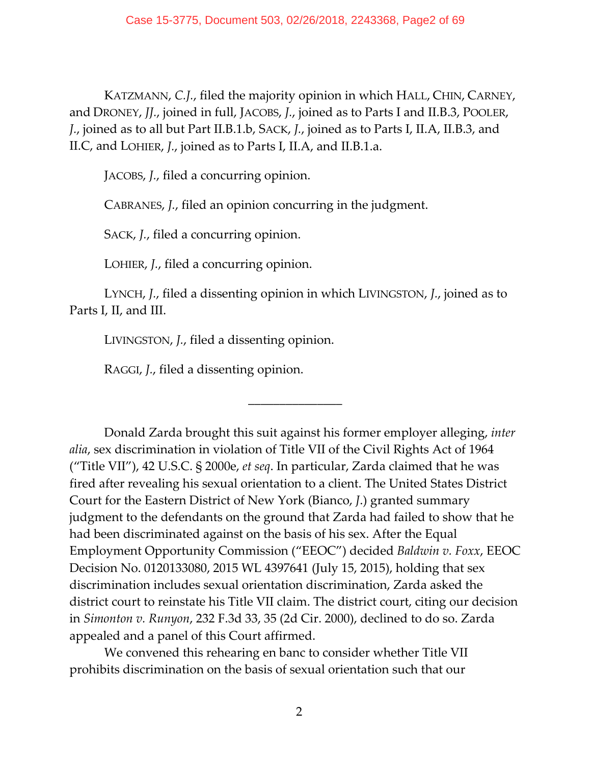KATZMANN, *C.J.*, filed the majority opinion in which HALL, CHIN, CARNEY, and DRONEY, *JJ.*, joined in full, JACOBS, *J.*, joined as to Parts I and II.B.3, POOLER, *J.*, joined as to all but Part II.B.1.b, SACK, *J.*, joined as to Parts I, II.A, II.B.3, and II.C, and LOHIER, *J.*, joined as to Parts I, II.A, and II.B.1.a.

JACOBS, *J.*, filed a concurring opinion.

CABRANES, *J.*, filed an opinion concurring in the judgment.

SACK, *J.*, filed a concurring opinion.

LOHIER, *J.*, filed a concurring opinion.

LYNCH, *J.*, filed a dissenting opinion in which LIVINGSTON, *J.*, joined as to Parts I, II, and III.

\_\_\_\_\_\_\_\_\_\_\_\_\_\_\_

LIVINGSTON, *J.*, filed a dissenting opinion.

RAGGI, *J.*, filed a dissenting opinion.

Donald Zarda brought this suit against his former employer alleging, *inter alia*, sex discrimination in violation of Title VII of the Civil Rights Act of 1964 ("Title VII"), 42 U.S.C. § 2000e, *et seq*. In particular, Zarda claimed that he was fired after revealing his sexual orientation to a client. The United States District Court for the Eastern District of New York (Bianco, *J*.) granted summary judgment to the defendants on the ground that Zarda had failed to show that he had been discriminated against on the basis of his sex. After the Equal Employment Opportunity Commission ("EEOC") decided *Baldwin v. Foxx*, EEOC Decision No. 0120133080, 2015 WL 4397641 (July 15, 2015), holding that sex discrimination includes sexual orientation discrimination, Zarda asked the district court to reinstate his Title VII claim. The district court, citing our decision in *Simonton v. Runyon*, 232 F.3d 33, 35 (2d Cir. 2000), declined to do so. Zarda appealed and a panel of this Court affirmed.

We convened this rehearing en banc to consider whether Title VII prohibits discrimination on the basis of sexual orientation such that our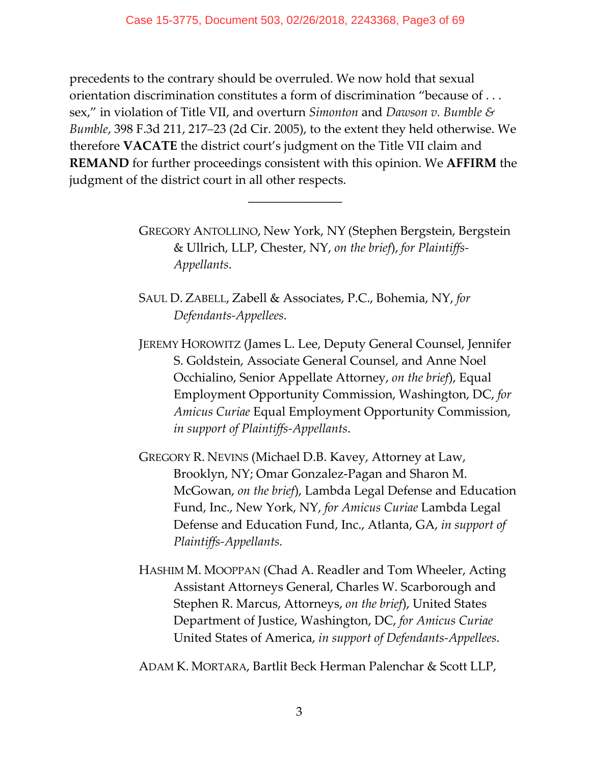precedents to the contrary should be overruled. We now hold that sexual orientation discrimination constitutes a form of discrimination "because of . . . sex," in violation of Title VII, and overturn *Simonton* and *Dawson v. Bumble & Bumble*, 398 F.3d 211, 217–23 (2d Cir. 2005), to the extent they held otherwise. We therefore **VACATE** the district court's judgment on the Title VII claim and **REMAND** for further proceedings consistent with this opinion. We **AFFIRM** the judgment of the district court in all other respects.

\_\_\_\_\_\_\_\_\_\_\_\_\_\_\_

GREGORY ANTOLLINO, New York, NY (Stephen Bergstein, Bergstein & Ullrich, LLP, Chester, NY, *on the brief*), *for Plaintiffs‐ Appellants*.

SAUL D. ZABELL, Zabell & Associates, P.C., Bohemia, NY, *for Defendants‐Appellees*.

JEREMY HOROWITZ (James L. Lee, Deputy General Counsel, Jennifer S. Goldstein, Associate General Counsel, and Anne Noel Occhialino, Senior Appellate Attorney, *on the brief*), Equal Employment Opportunity Commission, Washington, DC, *for Amicus Curiae* Equal Employment Opportunity Commission, *in support of Plaintiffs‐Appellants*.

GREGORY R. NEVINS (Michael D.B. Kavey, Attorney at Law, Brooklyn, NY; Omar Gonzalez‐Pagan and Sharon M. McGowan, *on the brief*), Lambda Legal Defense and Education Fund, Inc., New York, NY, *for Amicus Curiae* Lambda Legal Defense and Education Fund, Inc., Atlanta, GA, *in support of Plaintiffs‐Appellants.* 

HASHIM M. MOOPPAN (Chad A. Readler and Tom Wheeler, Acting Assistant Attorneys General, Charles W. Scarborough and Stephen R. Marcus, Attorneys, *on the brief*), United States Department of Justice, Washington, DC, *for Amicus Curiae* United States of America, *in support of Defendants‐Appellees*.

ADAM K. MORTARA, Bartlit Beck Herman Palenchar & Scott LLP,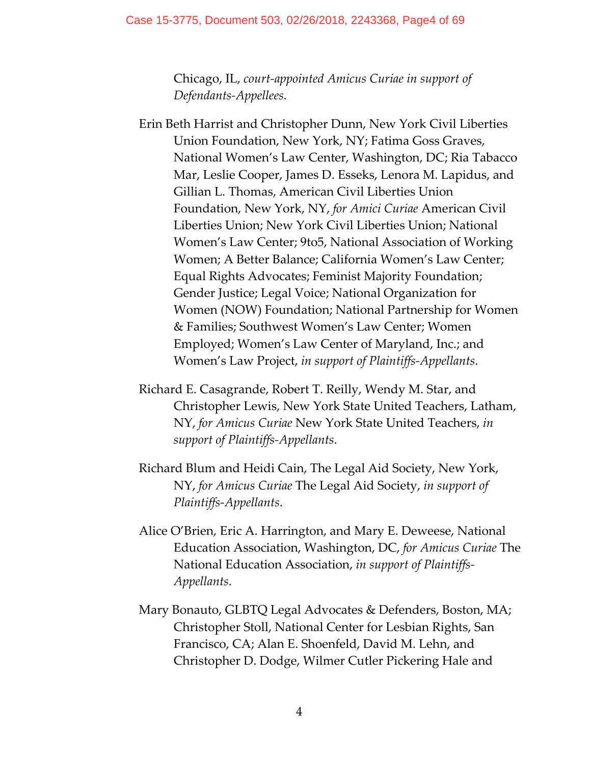Chicago, IL, *court‐appointed Amicus Curiae in support of Defendants‐Appellees*.

- Erin Beth Harrist and Christopher Dunn, New York Civil Liberties Union Foundation, New York, NY; Fatima Goss Graves, National Women's Law Center, Washington, DC; Ria Tabacco Mar, Leslie Cooper, James D. Esseks, Lenora M. Lapidus, and Gillian L. Thomas, American Civil Liberties Union Foundation, New York, NY, *for Amici Curiae* American Civil Liberties Union; New York Civil Liberties Union; National Women's Law Center; 9to5, National Association of Working Women; A Better Balance; California Women's Law Center; Equal Rights Advocates; Feminist Majority Foundation; Gender Justice; Legal Voice; National Organization for Women (NOW) Foundation; National Partnership for Women & Families; Southwest Women's Law Center; Women Employed; Women's Law Center of Maryland, Inc.; and Women's Law Project, *in support of Plaintiffs‐Appellants*.
- Richard E. Casagrande, Robert T. Reilly, Wendy M. Star, and Christopher Lewis, New York State United Teachers, Latham, NY, *for Amicus Curiae* New York State United Teachers, *in support of Plaintiffs‐Appellants*.
- Richard Blum and Heidi Cain, The Legal Aid Society, New York, NY, *for Amicus Curiae* The Legal Aid Society, *in support of Plaintiffs‐Appellants*.
- Alice O'Brien, Eric A. Harrington, and Mary E. Deweese, National Education Association, Washington, DC, *for Amicus Curiae* The National Education Association, *in support of Plaintiffs‐ Appellants*.
- Mary Bonauto, GLBTQ Legal Advocates & Defenders, Boston, MA; Christopher Stoll, National Center for Lesbian Rights, San Francisco, CA; Alan E. Shoenfeld, David M. Lehn, and Christopher D. Dodge, Wilmer Cutler Pickering Hale and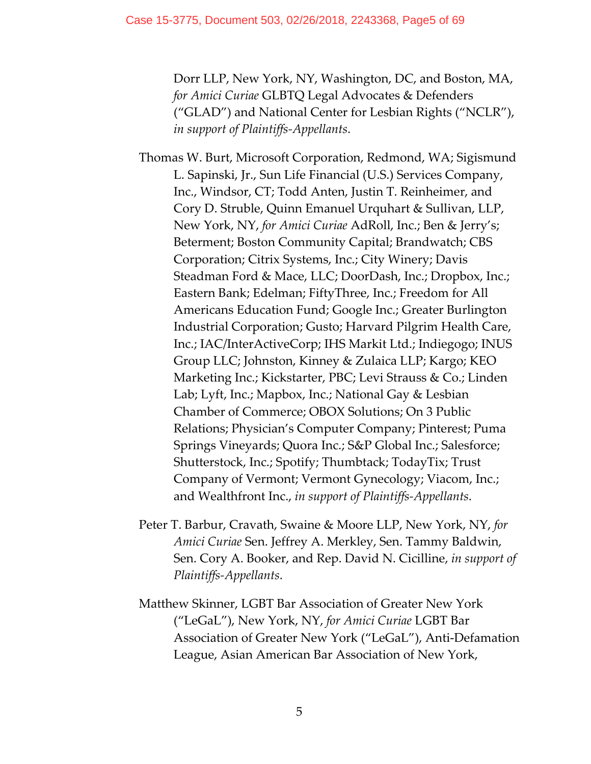Dorr LLP, New York, NY, Washington, DC, and Boston, MA, *for Amici Curiae* GLBTQ Legal Advocates & Defenders ("GLAD") and National Center for Lesbian Rights ("NCLR"), *in support of Plaintiffs‐Appellants*.

Thomas W. Burt, Microsoft Corporation, Redmond, WA; Sigismund L. Sapinski, Jr., Sun Life Financial (U.S.) Services Company, Inc., Windsor, CT; Todd Anten, Justin T. Reinheimer, and Cory D. Struble, Quinn Emanuel Urquhart & Sullivan, LLP, New York, NY, *for Amici Curiae* AdRoll, Inc.; Ben & Jerry's; Beterment; Boston Community Capital; Brandwatch; CBS Corporation; Citrix Systems, Inc.; City Winery; Davis Steadman Ford & Mace, LLC; DoorDash, Inc.; Dropbox, Inc.; Eastern Bank; Edelman; FiftyThree, Inc.; Freedom for All Americans Education Fund; Google Inc.; Greater Burlington Industrial Corporation; Gusto; Harvard Pilgrim Health Care, Inc.; IAC/InterActiveCorp; IHS Markit Ltd.; Indiegogo; INUS Group LLC; Johnston, Kinney & Zulaica LLP; Kargo; KEO Marketing Inc.; Kickstarter, PBC; Levi Strauss & Co.; Linden Lab; Lyft, Inc.; Mapbox, Inc.; National Gay & Lesbian Chamber of Commerce; OBOX Solutions; On 3 Public Relations; Physician's Computer Company; Pinterest; Puma Springs Vineyards; Quora Inc.; S&P Global Inc.; Salesforce; Shutterstock, Inc.; Spotify; Thumbtack; TodayTix; Trust Company of Vermont; Vermont Gynecology; Viacom, Inc.; and Wealthfront Inc., *in support of Plaintiffs‐Appellants*.

- Peter T. Barbur, Cravath, Swaine & Moore LLP, New York, NY, *for Amici Curiae* Sen. Jeffrey A. Merkley, Sen. Tammy Baldwin, Sen. Cory A. Booker, and Rep. David N. Cicilline, *in support of Plaintiffs‐Appellants*.
- Matthew Skinner, LGBT Bar Association of Greater New York ("LeGaL"), New York, NY, *for Amici Curiae* LGBT Bar Association of Greater New York ("LeGaL"), Anti‐Defamation League, Asian American Bar Association of New York,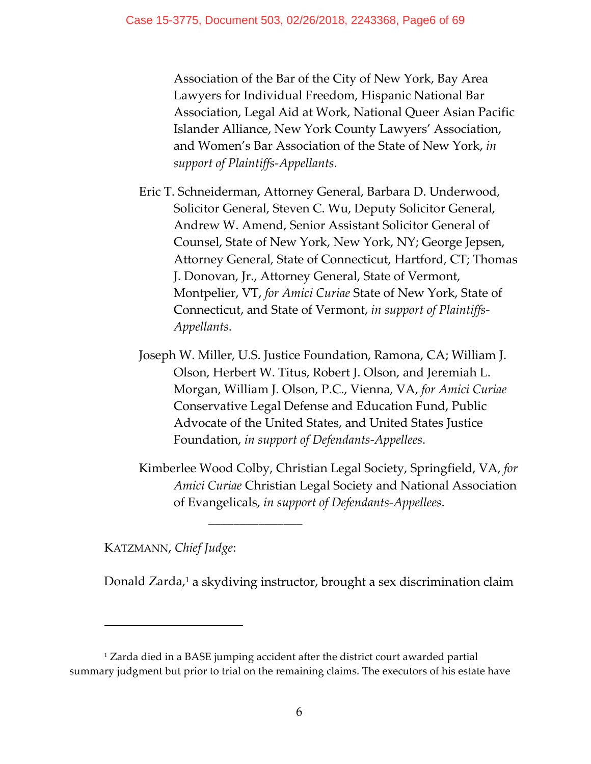Association of the Bar of the City of New York, Bay Area Lawyers for Individual Freedom, Hispanic National Bar Association, Legal Aid at Work, National Queer Asian Pacific Islander Alliance, New York County Lawyers' Association, and Women's Bar Association of the State of New York, *in support of Plaintiffs‐Appellants*.

- Eric T. Schneiderman, Attorney General, Barbara D. Underwood, Solicitor General, Steven C. Wu, Deputy Solicitor General, Andrew W. Amend, Senior Assistant Solicitor General of Counsel, State of New York, New York, NY; George Jepsen, Attorney General, State of Connecticut, Hartford, CT; Thomas J. Donovan, Jr., Attorney General, State of Vermont, Montpelier, VT, *for Amici Curiae* State of New York, State of Connecticut, and State of Vermont, *in support of Plaintiffs‐ Appellants*.
- Joseph W. Miller, U.S. Justice Foundation, Ramona, CA; William J. Olson, Herbert W. Titus, Robert J. Olson, and Jeremiah L. Morgan, William J. Olson, P.C., Vienna, VA, *for Amici Curiae* Conservative Legal Defense and Education Fund, Public Advocate of the United States, and United States Justice Foundation, *in support of Defendants‐Appellees*.
- Kimberlee Wood Colby, Christian Legal Society, Springfield, VA, *for Amici Curiae* Christian Legal Society and National Association of Evangelicals, *in support of Defendants‐Appellees*.

KATZMANN, *Chief Judge*:

Donald Zarda,<sup>1</sup> a skydiving instructor, brought a sex discrimination claim

\_\_\_\_\_\_\_\_\_\_\_\_\_\_\_

<sup>1</sup> Zarda died in a BASE jumping accident after the district court awarded partial summary judgment but prior to trial on the remaining claims. The executors of his estate have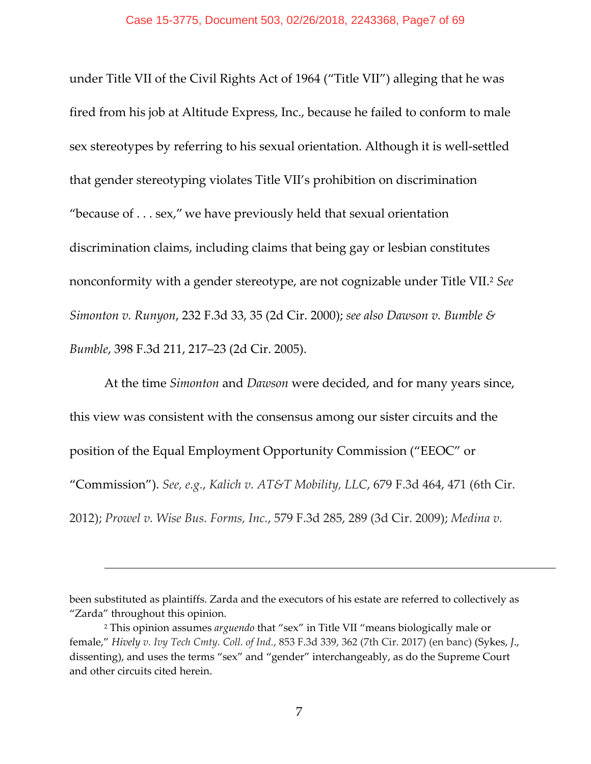under Title VII of the Civil Rights Act of 1964 ("Title VII") alleging that he was fired from his job at Altitude Express, Inc., because he failed to conform to male sex stereotypes by referring to his sexual orientation. Although it is well-settled that gender stereotyping violates Title VII's prohibition on discrimination "because of . . . sex," we have previously held that sexual orientation discrimination claims, including claims that being gay or lesbian constitutes nonconformity with a gender stereotype, are not cognizable under Title VII.2 *See Simonton v. Runyon*, 232 F.3d 33, 35 (2d Cir. 2000); *see also Dawson v. Bumble & Bumble*, 398 F.3d 211, 217–23 (2d Cir. 2005).

At the time *Simonton* and *Dawson* were decided, and for many years since, this view was consistent with the consensus among our sister circuits and the position of the Equal Employment Opportunity Commission ("EEOC" or "Commission"). *See, e.g.*, *Kalich v. AT&T Mobility, LLC*, 679 F.3d 464, 471 (6th Cir. 2012); *Prowel v. Wise Bus. Forms, Inc.*, 579 F.3d 285, 289 (3d Cir. 2009); *Medina v.*

been substituted as plaintiffs. Zarda and the executors of his estate are referred to collectively as "Zarda" throughout this opinion.

<sup>2</sup> This opinion assumes *arguendo* that "sex" in Title VII "means biologically male or female," *Hively v. Ivy Tech Cmty. Coll. of Ind.*, 853 F.3d 339, 362 (7th Cir. 2017) (en banc) (Sykes, *J*., dissenting), and uses the terms "sex" and "gender" interchangeably, as do the Supreme Court and other circuits cited herein.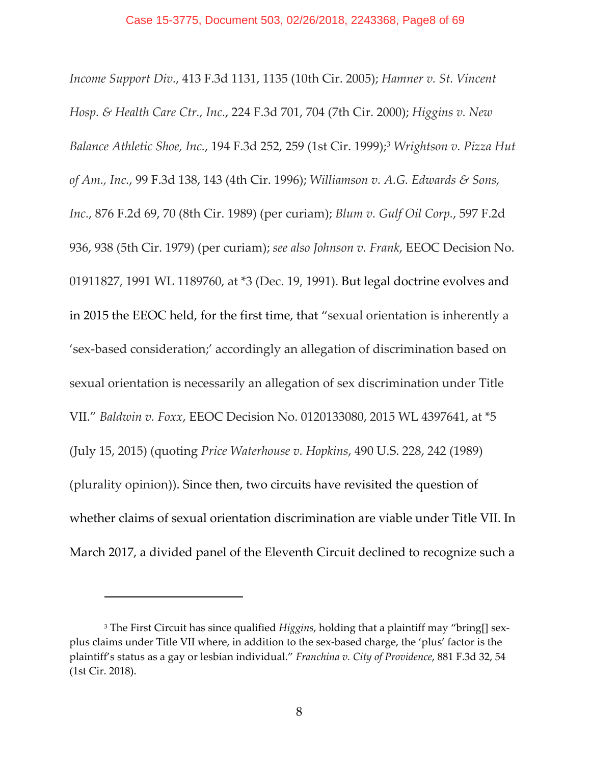*Income Support Div.*, 413 F.3d 1131, 1135 (10th Cir. 2005); *Hamner v. St. Vincent Hosp. & Health Care Ctr., Inc.*, 224 F.3d 701, 704 (7th Cir. 2000); *Higgins v. New Balance Athletic Shoe, Inc.*, 194 F.3d 252, 259 (1st Cir. 1999);3 *Wrightson v. Pizza Hut of Am., Inc.*, 99 F.3d 138, 143 (4th Cir. 1996); *Williamson v. A.G. Edwards & Sons, Inc.*, 876 F.2d 69, 70 (8th Cir. 1989) (per curiam); *Blum v. Gulf Oil Corp.*, 597 F.2d 936, 938 (5th Cir. 1979) (per curiam); *see also Johnson v. Frank*, EEOC Decision No. 01911827, 1991 WL 1189760, at \*3 (Dec. 19, 1991). But legal doctrine evolves and in 2015 the EEOC held, for the first time, that "sexual orientation is inherently a 'sex‐based consideration;' accordingly an allegation of discrimination based on sexual orientation is necessarily an allegation of sex discrimination under Title VII." *Baldwin v. Foxx*, EEOC Decision No. 0120133080, 2015 WL 4397641, at \*5 (July 15, 2015) (quoting *Price Waterhouse v. Hopkins*, 490 U.S. 228, 242 (1989) (plurality opinion)). Since then, two circuits have revisited the question of whether claims of sexual orientation discrimination are viable under Title VII. In March 2017, a divided panel of the Eleventh Circuit declined to recognize such a

<sup>&</sup>lt;sup>3</sup> The First Circuit has since qualified *Higgins*, holding that a plaintiff may "bring[] sexplus claims under Title VII where, in addition to the sex‐based charge, the 'plus' factor is the plaintiff's status as a gay or lesbian individual." *Franchina v. City of Providence*, 881 F.3d 32, 54 (1st Cir. 2018).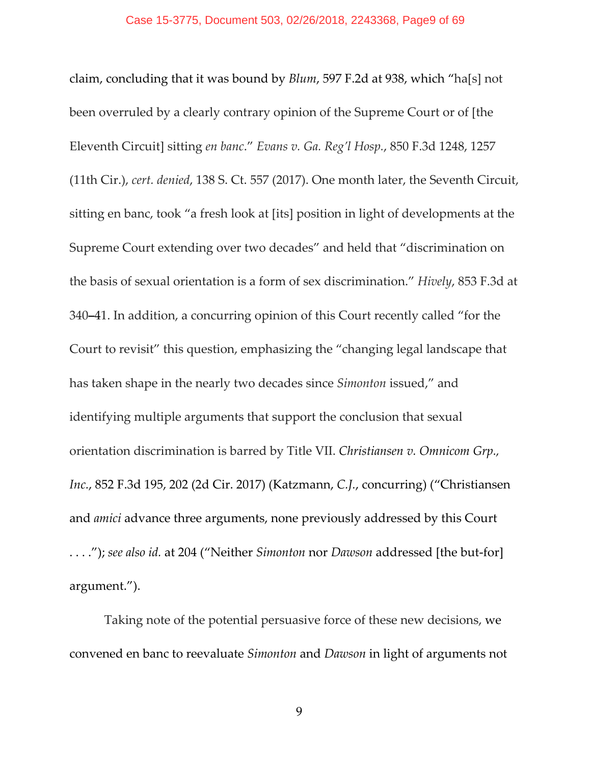claim, concluding that it was bound by *Blum*, 597 F.2d at 938, which "ha[s] not been overruled by a clearly contrary opinion of the Supreme Court or of [the Eleventh Circuit] sitting *en banc*." *Evans v. Ga. Reg'l Hosp.*, 850 F.3d 1248, 1257 (11th Cir.), *cert. denied*, 138 S. Ct. 557 (2017). One month later, the Seventh Circuit, sitting en banc, took "a fresh look at [its] position in light of developments at the Supreme Court extending over two decades" and held that "discrimination on the basis of sexual orientation is a form of sex discrimination." *Hively*, 853 F.3d at 340**–**41. In addition, a concurring opinion of this Court recently called "for the Court to revisit" this question, emphasizing the "changing legal landscape that has taken shape in the nearly two decades since *Simonton* issued," and identifying multiple arguments that support the conclusion that sexual orientation discrimination is barred by Title VII. *Christiansen v. Omnicom Grp., Inc.*, 852 F.3d 195, 202 (2d Cir. 2017) (Katzmann, *C.J.*, concurring) ("Christiansen and *amici* advance three arguments, none previously addressed by this Court . . . ."); *see also id.* at 204 ("Neither *Simonton* nor *Dawson* addressed [the but‐for] argument.").

Taking note of the potential persuasive force of these new decisions, we convened en banc to reevaluate *Simonton* and *Dawson* in light of arguments not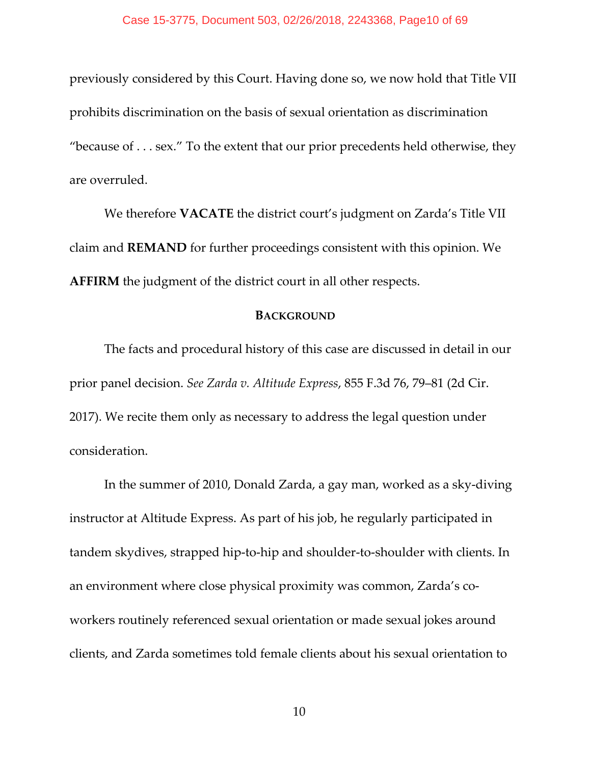previously considered by this Court. Having done so, we now hold that Title VII prohibits discrimination on the basis of sexual orientation as discrimination "because of  $\dots$  sex." To the extent that our prior precedents held otherwise, they are overruled.

We therefore **VACATE** the district court's judgment on Zarda's Title VII claim and **REMAND** for further proceedings consistent with this opinion. We **AFFIRM** the judgment of the district court in all other respects.

### **BACKGROUND**

The facts and procedural history of this case are discussed in detail in our prior panel decision. *See Zarda v. Altitude Express*, 855 F.3d 76, 79–81 (2d Cir. 2017). We recite them only as necessary to address the legal question under consideration.

In the summer of 2010, Donald Zarda, a gay man, worked as a sky‐diving instructor at Altitude Express. As part of his job, he regularly participated in tandem skydives, strapped hip‐to‐hip and shoulder‐to‐shoulder with clients. In an environment where close physical proximity was common, Zarda's coworkers routinely referenced sexual orientation or made sexual jokes around clients, and Zarda sometimes told female clients about his sexual orientation to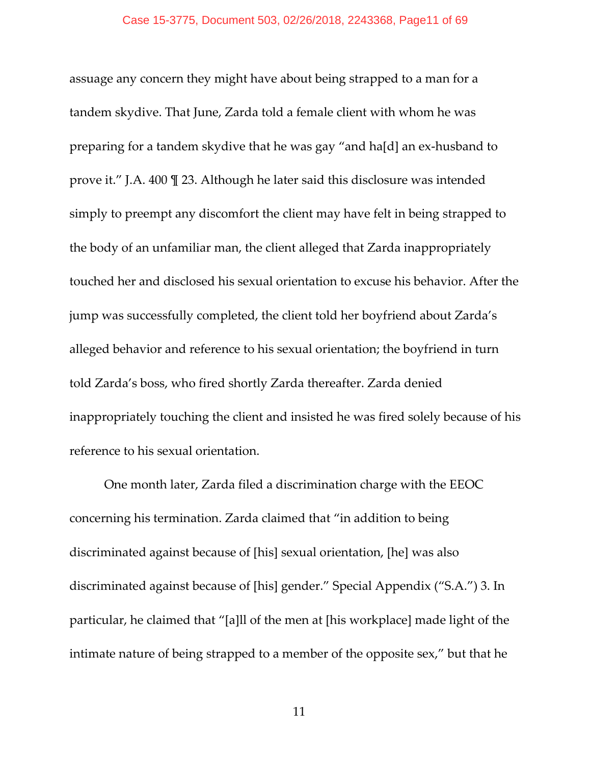assuage any concern they might have about being strapped to a man for a tandem skydive. That June, Zarda told a female client with whom he was preparing for a tandem skydive that he was gay "and ha[d] an ex‐husband to prove it." J.A. 400 ¶ 23. Although he later said this disclosure was intended simply to preempt any discomfort the client may have felt in being strapped to the body of an unfamiliar man, the client alleged that Zarda inappropriately touched her and disclosed his sexual orientation to excuse his behavior. After the jump was successfully completed, the client told her boyfriend about Zarda's alleged behavior and reference to his sexual orientation; the boyfriend in turn told Zarda's boss, who fired shortly Zarda thereafter. Zarda denied inappropriately touching the client and insisted he was fired solely because of his reference to his sexual orientation.

One month later, Zarda filed a discrimination charge with the EEOC concerning his termination. Zarda claimed that "in addition to being discriminated against because of [his] sexual orientation, [he] was also discriminated against because of [his] gender." Special Appendix ("S.A.") 3. In particular, he claimed that "[a]ll of the men at [his workplace] made light of the intimate nature of being strapped to a member of the opposite sex," but that he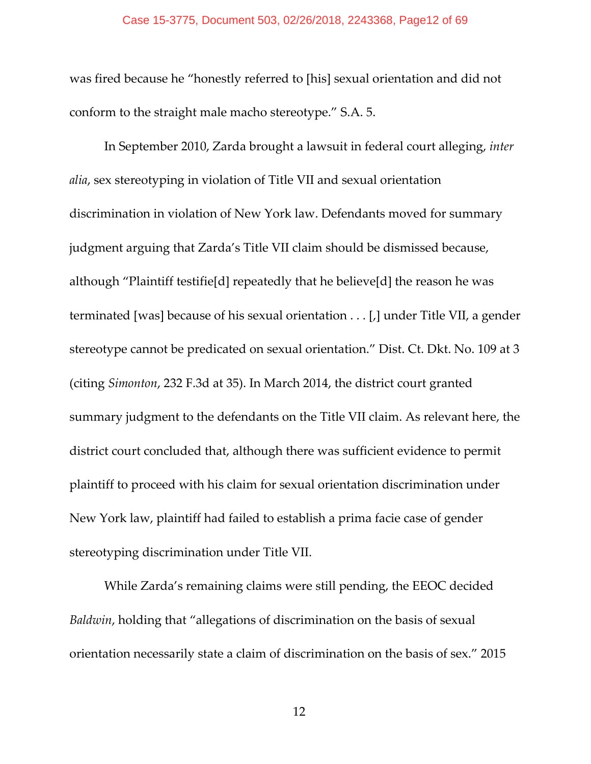#### Case 15-3775, Document 503, 02/26/2018, 2243368, Page12 of 69

was fired because he "honestly referred to [his] sexual orientation and did not conform to the straight male macho stereotype." S.A. 5.

In September 2010, Zarda brought a lawsuit in federal court alleging, *inter alia*, sex stereotyping in violation of Title VII and sexual orientation discrimination in violation of New York law. Defendants moved for summary judgment arguing that Zarda's Title VII claim should be dismissed because, although "Plaintiff testifie[d] repeatedly that he believe[d] the reason he was terminated [was] because of his sexual orientation . . . [,] under Title VII, a gender stereotype cannot be predicated on sexual orientation." Dist. Ct. Dkt. No. 109 at 3 (citing *Simonton*, 232 F.3d at 35). In March 2014, the district court granted summary judgment to the defendants on the Title VII claim. As relevant here, the district court concluded that, although there was sufficient evidence to permit plaintiff to proceed with his claim for sexual orientation discrimination under New York law, plaintiff had failed to establish a prima facie case of gender stereotyping discrimination under Title VII.

While Zarda's remaining claims were still pending, the EEOC decided *Baldwin*, holding that "allegations of discrimination on the basis of sexual orientation necessarily state a claim of discrimination on the basis of sex." 2015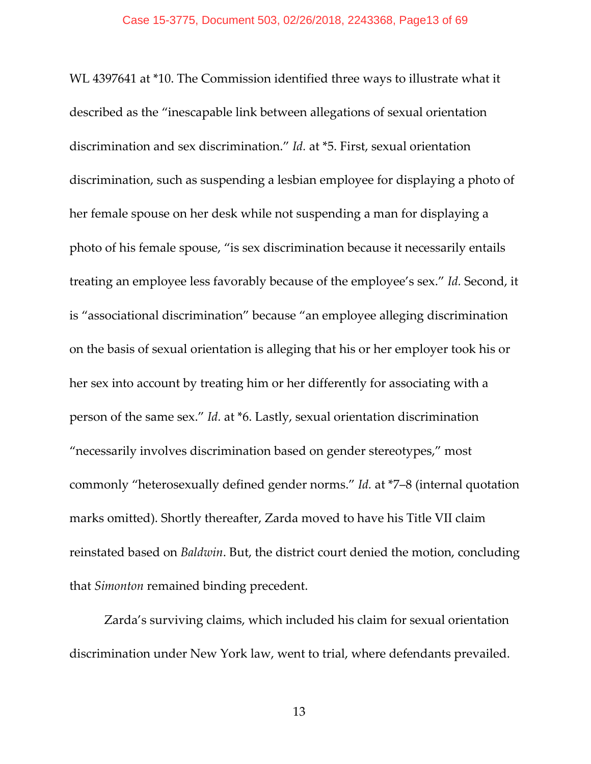WL 4397641 at \*10. The Commission identified three ways to illustrate what it described as the "inescapable link between allegations of sexual orientation discrimination and sex discrimination." *Id.* at \*5. First, sexual orientation discrimination, such as suspending a lesbian employee for displaying a photo of her female spouse on her desk while not suspending a man for displaying a photo of his female spouse, "is sex discrimination because it necessarily entails treating an employee less favorably because of the employee's sex." *Id.* Second, it is "associational discrimination" because "an employee alleging discrimination on the basis of sexual orientation is alleging that his or her employer took his or her sex into account by treating him or her differently for associating with a person of the same sex." *Id.* at \*6. Lastly, sexual orientation discrimination "necessarily involves discrimination based on gender stereotypes," most commonly "heterosexually defined gender norms." *Id.* at \*7–8 (internal quotation marks omitted). Shortly thereafter, Zarda moved to have his Title VII claim reinstated based on *Baldwin*. But, the district court denied the motion, concluding that *Simonton* remained binding precedent.

Zarda's surviving claims, which included his claim for sexual orientation discrimination under New York law, went to trial, where defendants prevailed.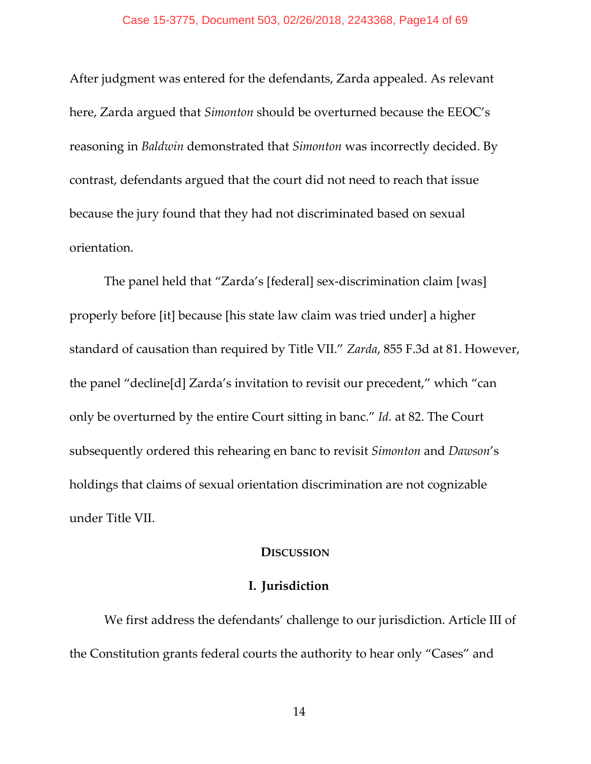### Case 15-3775, Document 503, 02/26/2018, 2243368, Page14 of 69

After judgment was entered for the defendants, Zarda appealed. As relevant here, Zarda argued that *Simonton* should be overturned because the EEOC's reasoning in *Baldwin* demonstrated that *Simonton* was incorrectly decided. By contrast, defendants argued that the court did not need to reach that issue because the jury found that they had not discriminated based on sexual orientation.

The panel held that "Zarda's [federal] sex‐discrimination claim [was] properly before [it] because [his state law claim was tried under] a higher standard of causation than required by Title VII." *Zarda*, 855 F.3d at 81. However, the panel "decline[d] Zarda's invitation to revisit our precedent," which "can only be overturned by the entire Court sitting in banc." *Id.* at 82. The Court subsequently ordered this rehearing en banc to revisit *Simonton* and *Dawson*'s holdings that claims of sexual orientation discrimination are not cognizable under Title VII.

### **DISCUSSION**

## **I. Jurisdiction**

We first address the defendants' challenge to our jurisdiction. Article III of the Constitution grants federal courts the authority to hear only "Cases" and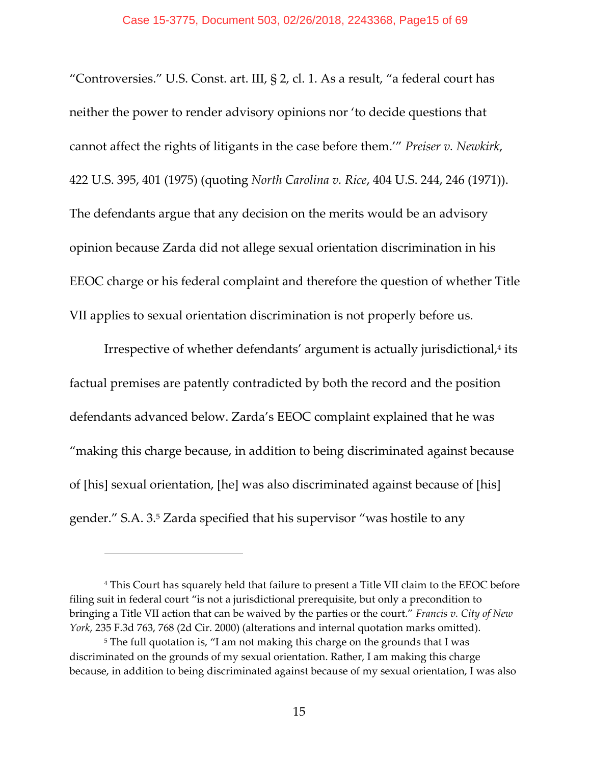"Controversies." U.S. Const. art. III, § 2, cl. 1. As a result, "a federal court has neither the power to render advisory opinions nor 'to decide questions that cannot affect the rights of litigants in the case before them.'" *Preiser v. Newkirk*, 422 U.S. 395, 401 (1975) (quoting *North Carolina v. Rice*, 404 U.S. 244, 246 (1971)). The defendants argue that any decision on the merits would be an advisory opinion because Zarda did not allege sexual orientation discrimination in his EEOC charge or his federal complaint and therefore the question of whether Title VII applies to sexual orientation discrimination is not properly before us.

Irrespective of whether defendants' argument is actually jurisdictional,<sup>4</sup> its factual premises are patently contradicted by both the record and the position defendants advanced below. Zarda's EEOC complaint explained that he was "making this charge because, in addition to being discriminated against because of [his] sexual orientation, [he] was also discriminated against because of [his] gender." S.A. 3.5 Zarda specified that his supervisor "was hostile to any

<sup>4</sup> This Court has squarely held that failure to present a Title VII claim to the EEOC before filing suit in federal court "is not a jurisdictional prerequisite, but only a precondition to bringing a Title VII action that can be waived by the parties or the court." *Francis v. City of New York*, 235 F.3d 763, 768 (2d Cir. 2000) (alterations and internal quotation marks omitted).

<sup>&</sup>lt;sup>5</sup> The full quotation is, "I am not making this charge on the grounds that I was discriminated on the grounds of my sexual orientation. Rather, I am making this charge because, in addition to being discriminated against because of my sexual orientation, I was also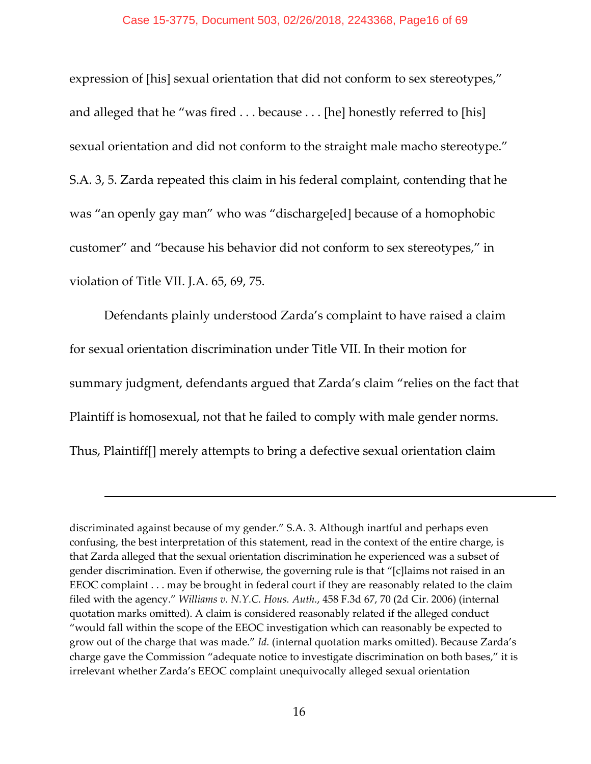expression of [his] sexual orientation that did not conform to sex stereotypes," and alleged that he "was fired . . . because . . . [he] honestly referred to [his] sexual orientation and did not conform to the straight male macho stereotype." S.A. 3, 5. Zarda repeated this claim in his federal complaint, contending that he was "an openly gay man" who was "discharge[ed] because of a homophobic customer" and "because his behavior did not conform to sex stereotypes," in violation of Title VII. J.A. 65, 69, 75.

Defendants plainly understood Zarda's complaint to have raised a claim for sexual orientation discrimination under Title VII. In their motion for summary judgment, defendants argued that Zarda's claim "relies on the fact that Plaintiff is homosexual, not that he failed to comply with male gender norms. Thus, Plaintiff[] merely attempts to bring a defective sexual orientation claim

discriminated against because of my gender." S.A. 3. Although inartful and perhaps even confusing, the best interpretation of this statement, read in the context of the entire charge, is that Zarda alleged that the sexual orientation discrimination he experienced was a subset of gender discrimination. Even if otherwise, the governing rule is that "[c]laims not raised in an EEOC complaint . . . may be brought in federal court if they are reasonably related to the claim filed with the agency." *Williams v. N.Y.C. Hous. Auth.*, 458 F.3d 67, 70 (2d Cir. 2006) (internal quotation marks omitted). A claim is considered reasonably related if the alleged conduct "would fall within the scope of the EEOC investigation which can reasonably be expected to grow out of the charge that was made." *Id.* (internal quotation marks omitted). Because Zarda's charge gave the Commission "adequate notice to investigate discrimination on both bases," it is irrelevant whether Zarda's EEOC complaint unequivocally alleged sexual orientation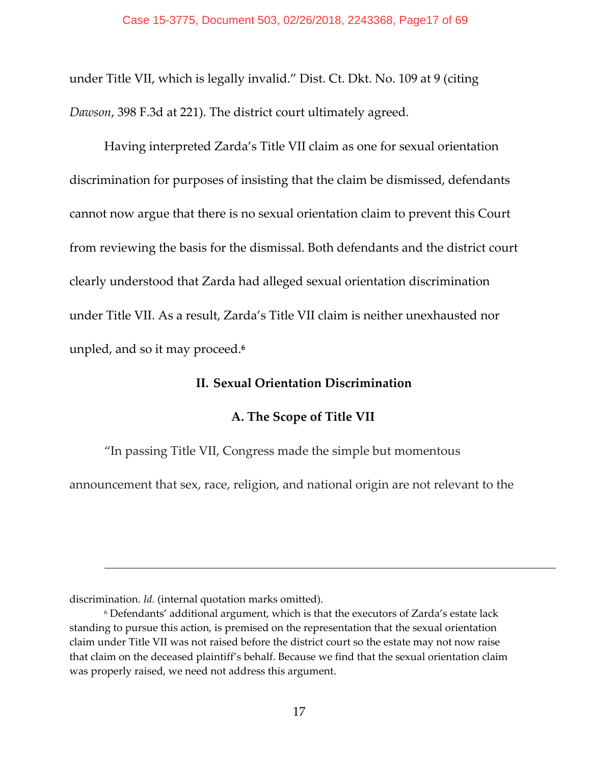under Title VII, which is legally invalid." Dist. Ct. Dkt. No. 109 at 9 (citing *Dawson*, 398 F.3d at 221). The district court ultimately agreed.

Having interpreted Zarda's Title VII claim as one for sexual orientation discrimination for purposes of insisting that the claim be dismissed, defendants cannot now argue that there is no sexual orientation claim to prevent this Court from reviewing the basis for the dismissal. Both defendants and the district court clearly understood that Zarda had alleged sexual orientation discrimination under Title VII. As a result, Zarda's Title VII claim is neither unexhausted nor unpled, and so it may proceed.**<sup>6</sup>**

## **II. Sexual Orientation Discrimination**

# **A. The Scope of Title VII**

"In passing Title VII, Congress made the simple but momentous

announcement that sex, race, religion, and national origin are not relevant to the

<u> Andreas Andreas Andreas Andreas Andreas Andreas Andreas Andreas Andreas Andreas Andreas Andreas Andreas Andr</u>

discrimination. *Id.* (internal quotation marks omitted).

<sup>6</sup> Defendants' additional argument, which is that the executors of Zarda's estate lack standing to pursue this action, is premised on the representation that the sexual orientation claim under Title VII was not raised before the district court so the estate may not now raise that claim on the deceased plaintiff's behalf. Because we find that the sexual orientation claim was properly raised, we need not address this argument.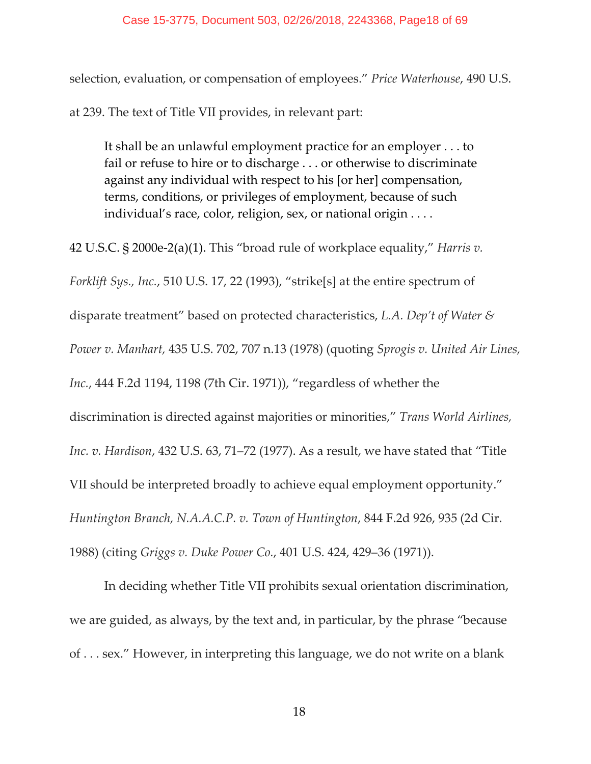selection, evaluation, or compensation of employees." *Price Waterhouse*, 490 U.S.

at 239. The text of Title VII provides, in relevant part:

It shall be an unlawful employment practice for an employer . . . to fail or refuse to hire or to discharge . . . or otherwise to discriminate against any individual with respect to his [or her] compensation, terms, conditions, or privileges of employment, because of such individual's race, color, religion, sex, or national origin . . . .

42 U.S.C. § 2000e‐2(a)(1). This "broad rule of workplace equality," *Harris v. Forklift Sys., Inc.*, 510 U.S. 17, 22 (1993), "strike[s] at the entire spectrum of disparate treatment" based on protected characteristics, *L.A. Dep't of Water & Power v. Manhart,* 435 U.S. 702, 707 n.13 (1978) (quoting *Sprogis v. United Air Lines, Inc.*, 444 F.2d 1194, 1198 (7th Cir. 1971)), "regardless of whether the discrimination is directed against majorities or minorities," *Trans World Airlines, Inc. v. Hardison*, 432 U.S. 63, 71–72 (1977). As a result, we have stated that "Title VII should be interpreted broadly to achieve equal employment opportunity." *Huntington Branch, N.A.A.C.P. v. Town of Huntington*, 844 F.2d 926, 935 (2d Cir. 1988) (citing *Griggs v. Duke Power Co.*, 401 U.S. 424, 429–36 (1971)).

In deciding whether Title VII prohibits sexual orientation discrimination, we are guided, as always, by the text and, in particular, by the phrase "because of . . . sex." However, in interpreting this language, we do not write on a blank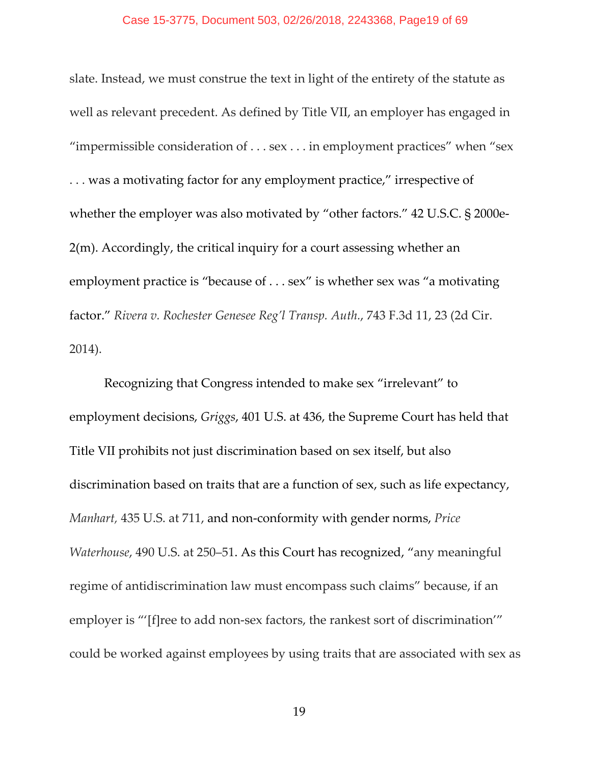### Case 15-3775, Document 503, 02/26/2018, 2243368, Page19 of 69

slate. Instead, we must construe the text in light of the entirety of the statute as well as relevant precedent. As defined by Title VII, an employer has engaged in "impermissible consideration of . . . sex . . . in employment practices" when "sex . . . was a motivating factor for any employment practice," irrespective of whether the employer was also motivated by "other factors." 42 U.S.C. § 2000e-2(m). Accordingly, the critical inquiry for a court assessing whether an employment practice is "because of . . . sex" is whether sex was "a motivating factor." *Rivera v. Rochester Genesee Reg'l Transp. Auth.*, 743 F.3d 11, 23 (2d Cir. 2014).

Recognizing that Congress intended to make sex "irrelevant" to employment decisions, *Griggs*, 401 U.S. at 436, the Supreme Court has held that Title VII prohibits not just discrimination based on sex itself, but also discrimination based on traits that are a function of sex, such as life expectancy, *Manhart,* 435 U.S. at 711, and non‐conformity with gender norms, *Price Waterhouse*, 490 U.S. at 250–51. As this Court has recognized, "any meaningful regime of antidiscrimination law must encompass such claims" because, if an employer is "'[f]ree to add non-sex factors, the rankest sort of discrimination'" could be worked against employees by using traits that are associated with sex as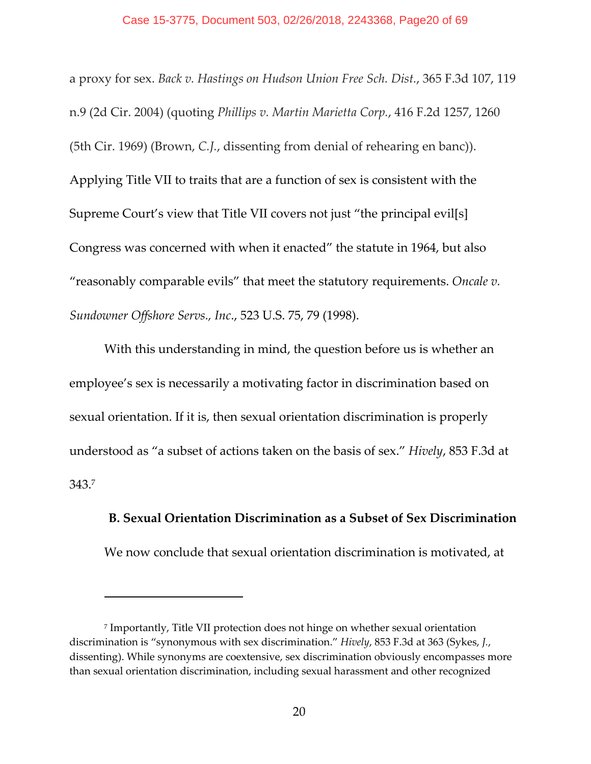a proxy for sex. *Back v. Hastings on Hudson Union Free Sch. Dist.*, 365 F.3d 107, 119 n.9 (2d Cir. 2004) (quoting *Phillips v. Martin Marietta Corp.*, 416 F.2d 1257, 1260 (5th Cir. 1969) (Brown, *C.J.*, dissenting from denial of rehearing en banc)). Applying Title VII to traits that are a function of sex is consistent with the Supreme Court's view that Title VII covers not just "the principal evil[s] Congress was concerned with when it enacted" the statute in 1964, but also "reasonably comparable evils" that meet the statutory requirements. *Oncale v. Sundowner Offshore Servs., Inc*., 523 U.S. 75, 79 (1998).

With this understanding in mind, the question before us is whether an employee's sex is necessarily a motivating factor in discrimination based on sexual orientation. If it is, then sexual orientation discrimination is properly understood as "a subset of actions taken on the basis of sex." *Hively*, 853 F.3d at 343.7

**B. Sexual Orientation Discrimination as a Subset of Sex Discrimination** We now conclude that sexual orientation discrimination is motivated, at

<sup>7</sup> Importantly, Title VII protection does not hinge on whether sexual orientation discrimination is "synonymous with sex discrimination." *Hively*, 853 F.3d at 363 (Sykes, *J.*, dissenting). While synonyms are coextensive, sex discrimination obviously encompasses more than sexual orientation discrimination, including sexual harassment and other recognized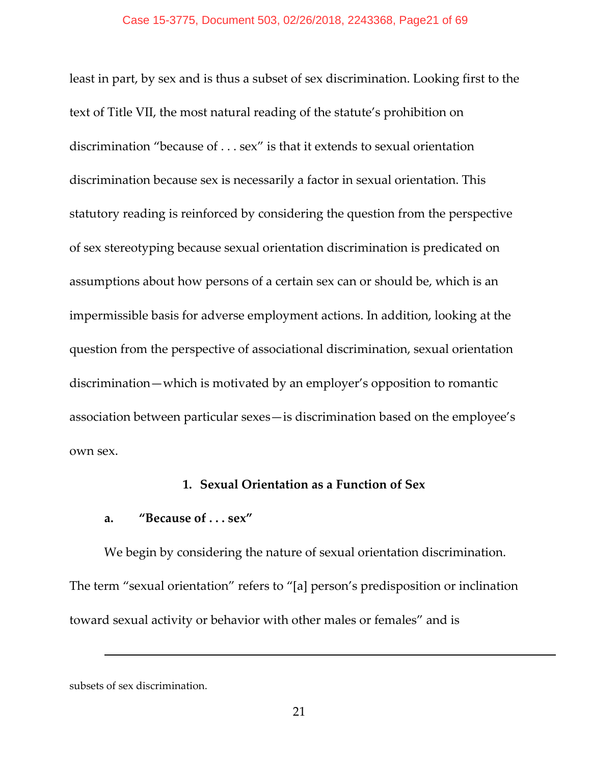least in part, by sex and is thus a subset of sex discrimination. Looking first to the text of Title VII, the most natural reading of the statute's prohibition on discrimination "because of . . . sex" is that it extends to sexual orientation discrimination because sex is necessarily a factor in sexual orientation. This statutory reading is reinforced by considering the question from the perspective of sex stereotyping because sexual orientation discrimination is predicated on assumptions about how persons of a certain sex can or should be, which is an impermissible basis for adverse employment actions. In addition, looking at the question from the perspective of associational discrimination, sexual orientation discrimination—which is motivated by an employer's opposition to romantic association between particular sexes—is discrimination based on the employee's own sex.

# **1. Sexual Orientation as a Function of Sex**

# **a. "Because of . . . sex"**

We begin by considering the nature of sexual orientation discrimination. The term "sexual orientation" refers to "[a] person's predisposition or inclination toward sexual activity or behavior with other males or females" and is

subsets of sex discrimination.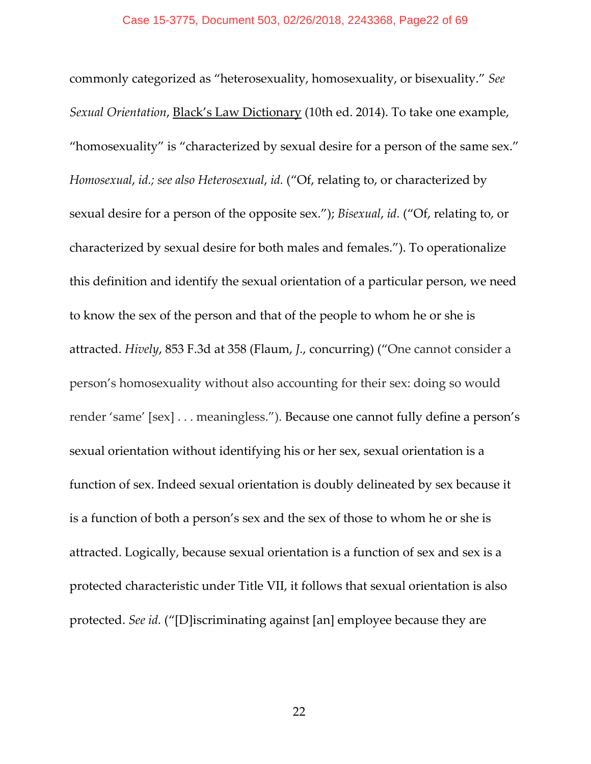commonly categorized as "heterosexuality, homosexuality, or bisexuality." *See Sexual Orientation*, Black's Law Dictionary (10th ed. 2014). To take one example, "homosexuality" is "characterized by sexual desire for a person of the same sex." *Homosexual*, *id.; see also Heterosexual*, *id.* ("Of, relating to, or characterized by sexual desire for a person of the opposite sex."); *Bisexual*, *id.* ("Of, relating to, or characterized by sexual desire for both males and females."). To operationalize this definition and identify the sexual orientation of a particular person, we need to know the sex of the person and that of the people to whom he or she is attracted. *Hively*, 853 F.3d at 358 (Flaum, *J.*, concurring) ("One cannot consider a person's homosexuality without also accounting for their sex: doing so would render 'same' [sex] . . . meaningless."). Because one cannot fully define a person's sexual orientation without identifying his or her sex, sexual orientation is a function of sex. Indeed sexual orientation is doubly delineated by sex because it is a function of both a person's sex and the sex of those to whom he or she is attracted. Logically, because sexual orientation is a function of sex and sex is a protected characteristic under Title VII, it follows that sexual orientation is also protected. *See id.* ("[D]iscriminating against [an] employee because they are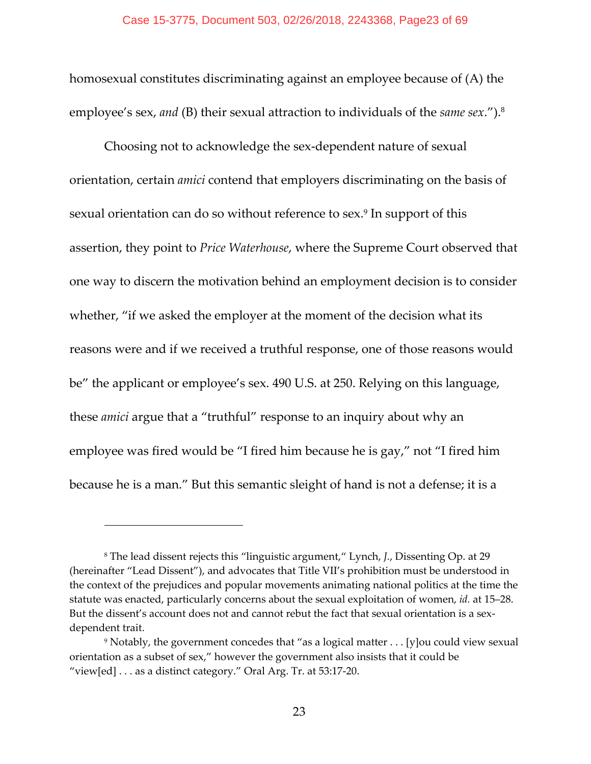homosexual constitutes discriminating against an employee because of (A) the employee's sex, *and* (B) their sexual attraction to individuals of the *same sex*.").<sup>8</sup>

Choosing not to acknowledge the sex‐dependent nature of sexual orientation, certain *amici* contend that employers discriminating on the basis of sexual orientation can do so without reference to sex.9 In support of this assertion, they point to *Price Waterhouse*, where the Supreme Court observed that one way to discern the motivation behind an employment decision is to consider whether, "if we asked the employer at the moment of the decision what its reasons were and if we received a truthful response, one of those reasons would be" the applicant or employee's sex. 490 U.S. at 250. Relying on this language, these *amici* argue that a "truthful" response to an inquiry about why an employee was fired would be "I fired him because he is gay," not "I fired him because he is a man." But this semantic sleight of hand is not a defense; it is a

<sup>8</sup> The lead dissent rejects this "linguistic argument," Lynch, *J.*, Dissenting Op. at 29 (hereinafter "Lead Dissent"), and advocates that Title VII's prohibition must be understood in the context of the prejudices and popular movements animating national politics at the time the statute was enacted, particularly concerns about the sexual exploitation of women, *id.* at 15–28. But the dissent's account does not and cannot rebut the fact that sexual orientation is a sexdependent trait.

<sup>9</sup> Notably, the government concedes that "as a logical matter . . . [y]ou could view sexual orientation as a subset of sex," however the government also insists that it could be "view[ed] . . . as a distinct category." Oral Arg. Tr. at 53:17‐20.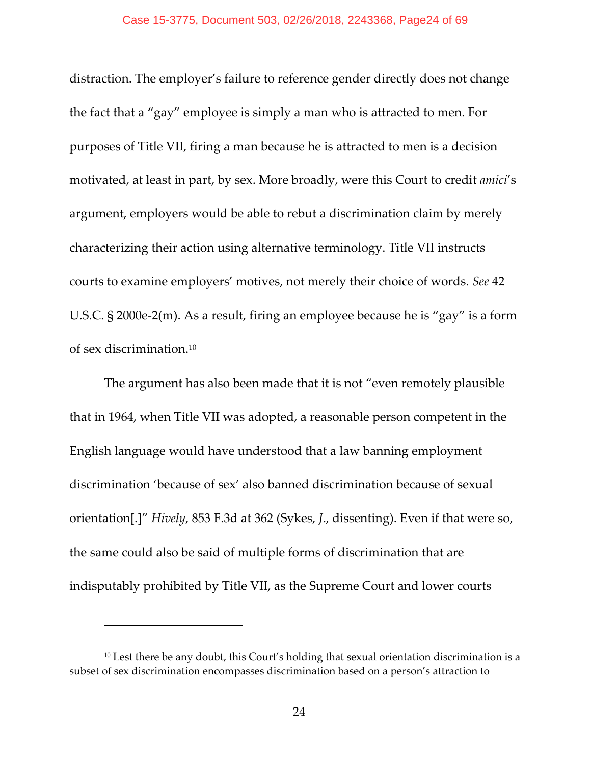distraction. The employer's failure to reference gender directly does not change the fact that a "gay" employee is simply a man who is attracted to men. For purposes of Title VII, firing a man because he is attracted to men is a decision motivated, at least in part, by sex. More broadly, were this Court to credit *amici*'s argument, employers would be able to rebut a discrimination claim by merely characterizing their action using alternative terminology. Title VII instructs courts to examine employers' motives, not merely their choice of words. *See* 42 U.S.C. § 2000e‐2(m). As a result, firing an employee because he is "gay" is a form of sex discrimination.10

The argument has also been made that it is not "even remotely plausible that in 1964, when Title VII was adopted, a reasonable person competent in the English language would have understood that a law banning employment discrimination 'because of sex' also banned discrimination because of sexual orientation[.]" *Hively*, 853 F.3d at 362 (Sykes, *J*., dissenting). Even if that were so, the same could also be said of multiple forms of discrimination that are indisputably prohibited by Title VII, as the Supreme Court and lower courts

<sup>&</sup>lt;sup>10</sup> Lest there be any doubt, this Court's holding that sexual orientation discrimination is a subset of sex discrimination encompasses discrimination based on a person's attraction to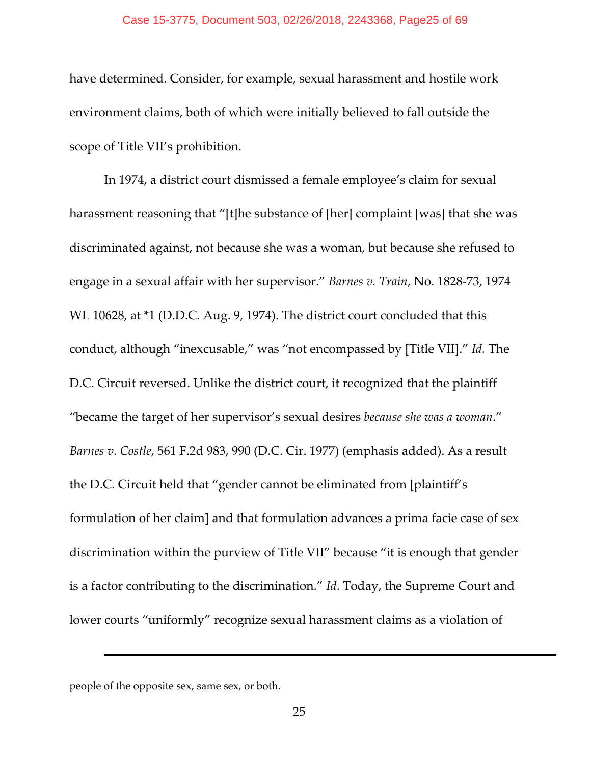### Case 15-3775, Document 503, 02/26/2018, 2243368, Page25 of 69

have determined. Consider, for example, sexual harassment and hostile work environment claims, both of which were initially believed to fall outside the scope of Title VII's prohibition.

In 1974, a district court dismissed a female employee's claim for sexual harassment reasoning that "[t]he substance of [her] complaint [was] that she was discriminated against, not because she was a woman, but because she refused to engage in a sexual affair with her supervisor." *Barnes v. Train*, No. 1828‐73, 1974 WL 10628, at \*1 (D.D.C. Aug. 9, 1974). The district court concluded that this conduct, although "inexcusable," was "not encompassed by [Title VII]." *Id.* The D.C. Circuit reversed. Unlike the district court, it recognized that the plaintiff "became the target of her supervisor's sexual desires *because she was a woman*." *Barnes v. Costle*, 561 F.2d 983, 990 (D.C. Cir. 1977) (emphasis added). As a result the D.C. Circuit held that "gender cannot be eliminated from [plaintiff's formulation of her claim] and that formulation advances a prima facie case of sex discrimination within the purview of Title VII" because "it is enough that gender is a factor contributing to the discrimination." *Id*. Today, the Supreme Court and lower courts "uniformly" recognize sexual harassment claims as a violation of

people of the opposite sex, same sex, or both.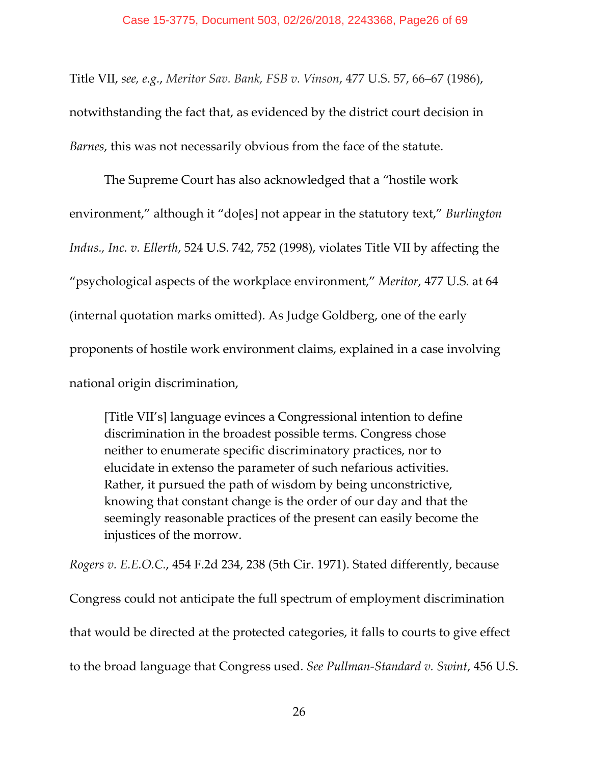Title VII, *see, e.g.*, *Meritor Sav. Bank, FSB v. Vinson*, 477 U.S. 57, 66–67 (1986), notwithstanding the fact that, as evidenced by the district court decision in *Barnes*, this was not necessarily obvious from the face of the statute.

The Supreme Court has also acknowledged that a "hostile work environment," although it "do[es] not appear in the statutory text," *Burlington Indus., Inc. v. Ellerth*, 524 U.S. 742, 752 (1998), violates Title VII by affecting the "psychological aspects of the workplace environment," *Meritor*, 477 U.S. at 64 (internal quotation marks omitted). As Judge Goldberg, one of the early proponents of hostile work environment claims, explained in a case involving national origin discrimination,

[Title VII's] language evinces a Congressional intention to define discrimination in the broadest possible terms. Congress chose neither to enumerate specific discriminatory practices, nor to elucidate in extenso the parameter of such nefarious activities. Rather, it pursued the path of wisdom by being unconstrictive, knowing that constant change is the order of our day and that the seemingly reasonable practices of the present can easily become the injustices of the morrow.

*Rogers v. E.E.O.C.*, 454 F.2d 234, 238 (5th Cir. 1971). Stated differently, because Congress could not anticipate the full spectrum of employment discrimination that would be directed at the protected categories, it falls to courts to give effect to the broad language that Congress used. *See Pullman‐Standard v. Swint*, 456 U.S.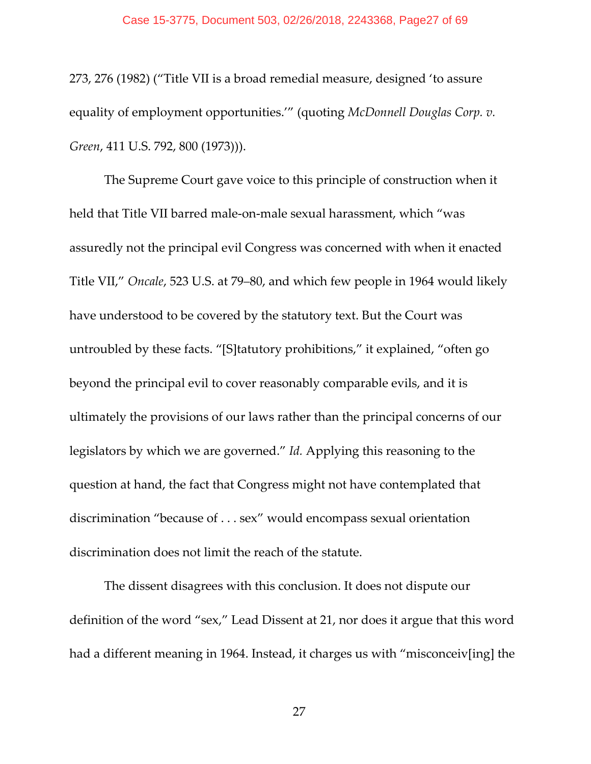273, 276 (1982) ("Title VII is a broad remedial measure, designed 'to assure equality of employment opportunities.'" (quoting *McDonnell Douglas Corp. v. Green*, 411 U.S. 792, 800 (1973))).

The Supreme Court gave voice to this principle of construction when it held that Title VII barred male‐on‐male sexual harassment, which "was assuredly not the principal evil Congress was concerned with when it enacted Title VII," *Oncale*, 523 U.S. at 79–80, and which few people in 1964 would likely have understood to be covered by the statutory text. But the Court was untroubled by these facts. "[S]tatutory prohibitions," it explained, "often go beyond the principal evil to cover reasonably comparable evils, and it is ultimately the provisions of our laws rather than the principal concerns of our legislators by which we are governed." *Id.* Applying this reasoning to the question at hand, the fact that Congress might not have contemplated that discrimination "because of . . . sex" would encompass sexual orientation discrimination does not limit the reach of the statute.

The dissent disagrees with this conclusion. It does not dispute our definition of the word "sex," Lead Dissent at 21, nor does it argue that this word had a different meaning in 1964. Instead, it charges us with "misconceiv[ing] the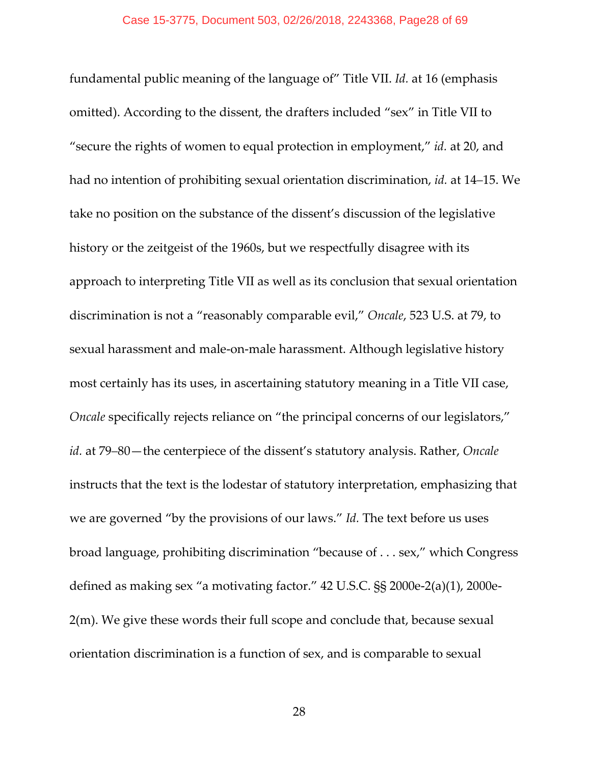fundamental public meaning of the language of" Title VII. *Id.* at 16 (emphasis omitted). According to the dissent, the drafters included "sex" in Title VII to "secure the rights of women to equal protection in employment," *id.* at 20, and had no intention of prohibiting sexual orientation discrimination, *id.* at 14–15. We take no position on the substance of the dissent's discussion of the legislative history or the zeitgeist of the 1960s, but we respectfully disagree with its approach to interpreting Title VII as well as its conclusion that sexual orientation discrimination is not a "reasonably comparable evil," *Oncale*, 523 U.S. at 79, to sexual harassment and male‐on‐male harassment. Although legislative history most certainly has its uses, in ascertaining statutory meaning in a Title VII case, *Oncale* specifically rejects reliance on "the principal concerns of our legislators," *id.* at 79–80—the centerpiece of the dissent's statutory analysis. Rather, *Oncale* instructs that the text is the lodestar of statutory interpretation, emphasizing that we are governed "by the provisions of our laws." *Id.* The text before us uses broad language, prohibiting discrimination "because of . . . sex," which Congress defined as making sex "a motivating factor." 42 U.S.C. §§ 2000e‐2(a)(1), 2000e‐ 2(m). We give these words their full scope and conclude that, because sexual orientation discrimination is a function of sex, and is comparable to sexual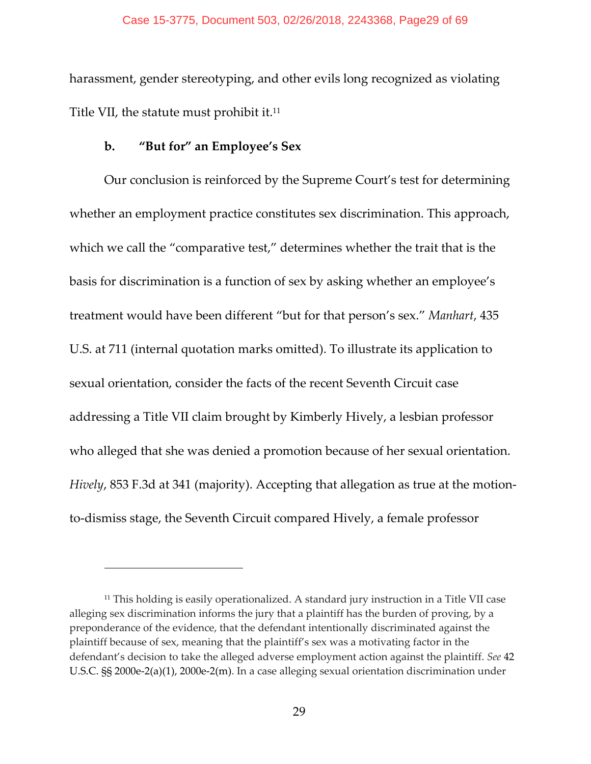harassment, gender stereotyping, and other evils long recognized as violating Title VII, the statute must prohibit it.<sup>11</sup>

# **b. "But for" an Employee's Sex**

Our conclusion is reinforced by the Supreme Court's test for determining whether an employment practice constitutes sex discrimination. This approach, which we call the "comparative test," determines whether the trait that is the basis for discrimination is a function of sex by asking whether an employee's treatment would have been different "but for that person's sex." *Manhart*, 435 U.S. at 711 (internal quotation marks omitted). To illustrate its application to sexual orientation, consider the facts of the recent Seventh Circuit case addressing a Title VII claim brought by Kimberly Hively, a lesbian professor who alleged that she was denied a promotion because of her sexual orientation. *Hively*, 853 F.3d at 341 (majority). Accepting that allegation as true at the motionto‐dismiss stage, the Seventh Circuit compared Hively, a female professor

<sup>&</sup>lt;sup>11</sup> This holding is easily operationalized. A standard jury instruction in a Title VII case alleging sex discrimination informs the jury that a plaintiff has the burden of proving, by a preponderance of the evidence, that the defendant intentionally discriminated against the plaintiff because of sex, meaning that the plaintiff's sex was a motivating factor in the defendant's decision to take the alleged adverse employment action against the plaintiff. *See* 42 U.S.C. §§ 2000e‐2(a)(1), 2000e‐2(m). In a case alleging sexual orientation discrimination under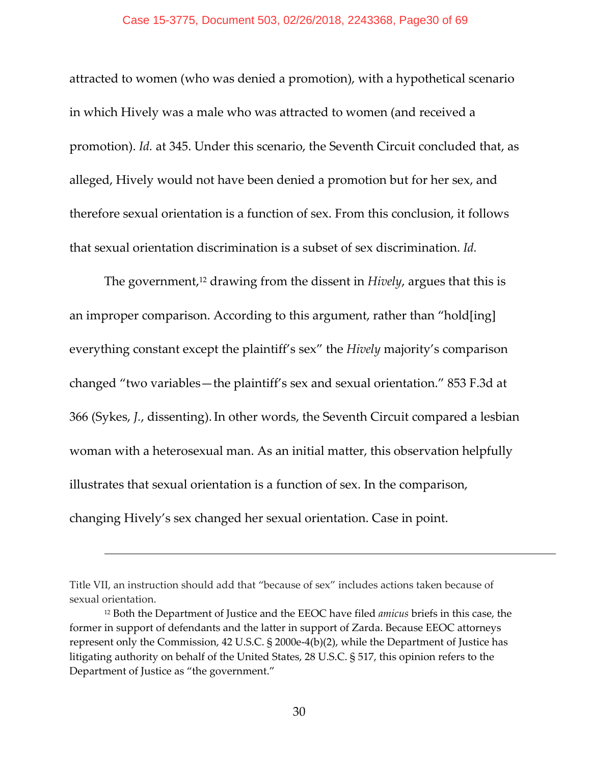### Case 15-3775, Document 503, 02/26/2018, 2243368, Page30 of 69

attracted to women (who was denied a promotion), with a hypothetical scenario in which Hively was a male who was attracted to women (and received a promotion). *Id.* at 345. Under this scenario, the Seventh Circuit concluded that, as alleged, Hively would not have been denied a promotion but for her sex, and therefore sexual orientation is a function of sex. From this conclusion, it follows that sexual orientation discrimination is a subset of sex discrimination. *Id.*

The government,<sup>12</sup> drawing from the dissent in *Hively*, argues that this is an improper comparison. According to this argument, rather than "hold[ing] everything constant except the plaintiff's sex" the *Hively* majority's comparison changed "two variables—the plaintiff's sex and sexual orientation." 853 F.3d at 366 (Sykes, *J.*, dissenting).In other words, the Seventh Circuit compared a lesbian woman with a heterosexual man. As an initial matter, this observation helpfully illustrates that sexual orientation is a function of sex. In the comparison, changing Hively's sex changed her sexual orientation. Case in point.

Title VII, an instruction should add that "because of sex" includes actions taken because of sexual orientation.

<sup>12</sup> Both the Department of Justice and the EEOC have filed *amicus* briefs in this case, the former in support of defendants and the latter in support of Zarda. Because EEOC attorneys represent only the Commission, 42 U.S.C. § 2000e-4(b)(2), while the Department of Justice has litigating authority on behalf of the United States, 28 U.S.C. § 517, this opinion refers to the Department of Justice as "the government."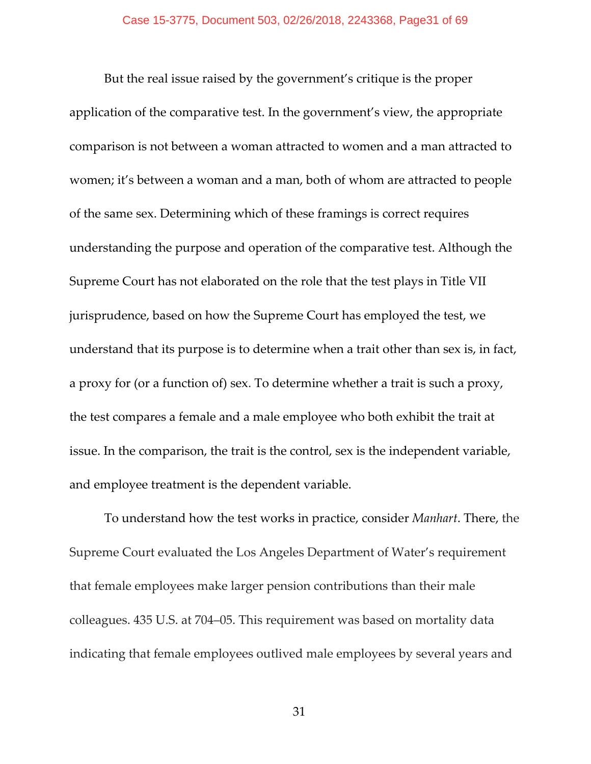But the real issue raised by the government's critique is the proper application of the comparative test. In the government's view, the appropriate comparison is not between a woman attracted to women and a man attracted to women; it's between a woman and a man, both of whom are attracted to people of the same sex. Determining which of these framings is correct requires understanding the purpose and operation of the comparative test. Although the Supreme Court has not elaborated on the role that the test plays in Title VII jurisprudence, based on how the Supreme Court has employed the test, we understand that its purpose is to determine when a trait other than sex is, in fact, a proxy for (or a function of) sex. To determine whether a trait is such a proxy, the test compares a female and a male employee who both exhibit the trait at issue. In the comparison, the trait is the control, sex is the independent variable, and employee treatment is the dependent variable.

To understand how the test works in practice, consider *Manhart*. There, the Supreme Court evaluated the Los Angeles Department of Water's requirement that female employees make larger pension contributions than their male colleagues. 435 U.S. at 704–05. This requirement was based on mortality data indicating that female employees outlived male employees by several years and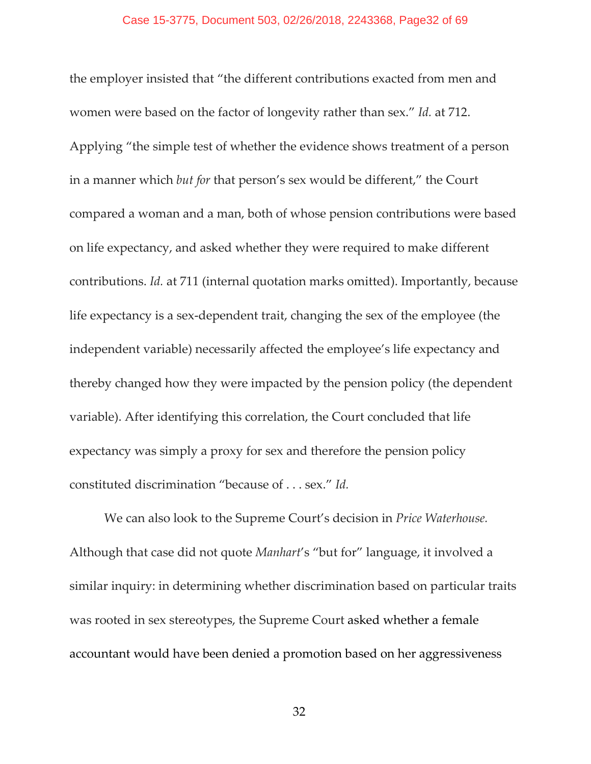the employer insisted that "the different contributions exacted from men and women were based on the factor of longevity rather than sex." *Id.* at 712. Applying "the simple test of whether the evidence shows treatment of a person in a manner which *but for* that person's sex would be different," the Court compared a woman and a man, both of whose pension contributions were based on life expectancy, and asked whether they were required to make different contributions. *Id.* at 711 (internal quotation marks omitted). Importantly, because life expectancy is a sex‐dependent trait, changing the sex of the employee (the independent variable) necessarily affected the employee's life expectancy and thereby changed how they were impacted by the pension policy (the dependent variable). After identifying this correlation, the Court concluded that life expectancy was simply a proxy for sex and therefore the pension policy constituted discrimination "because of . . . sex." *Id.*

We can also look to the Supreme Court's decision in *Price Waterhouse.* Although that case did not quote *Manhart*'s "but for" language, it involved a similar inquiry: in determining whether discrimination based on particular traits was rooted in sex stereotypes, the Supreme Court asked whether a female accountant would have been denied a promotion based on her aggressiveness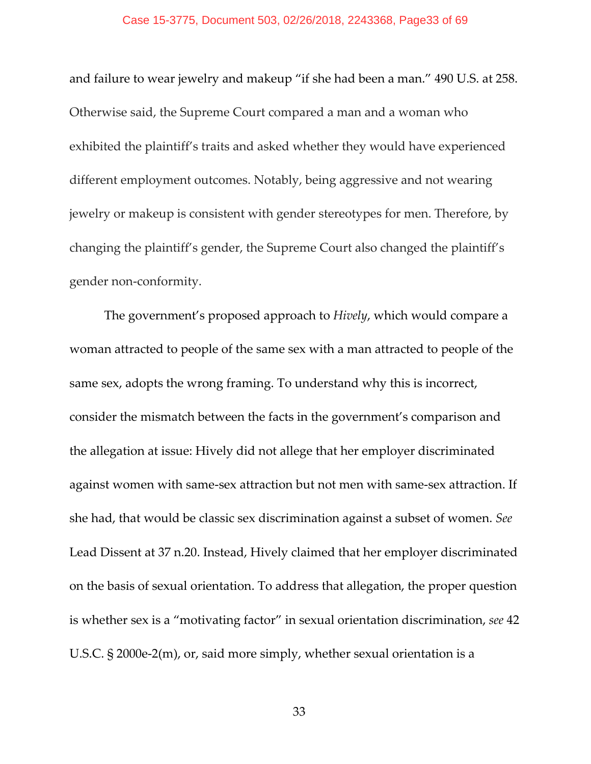### Case 15-3775, Document 503, 02/26/2018, 2243368, Page33 of 69

and failure to wear jewelry and makeup "if she had been a man." 490 U.S. at 258. Otherwise said, the Supreme Court compared a man and a woman who exhibited the plaintiff's traits and asked whether they would have experienced different employment outcomes. Notably, being aggressive and not wearing jewelry or makeup is consistent with gender stereotypes for men. Therefore, by changing the plaintiff's gender, the Supreme Court also changed the plaintiff's gender non‐conformity.

The government's proposed approach to *Hively*, which would compare a woman attracted to people of the same sex with a man attracted to people of the same sex, adopts the wrong framing. To understand why this is incorrect, consider the mismatch between the facts in the government's comparison and the allegation at issue: Hively did not allege that her employer discriminated against women with same‐sex attraction but not men with same‐sex attraction. If she had, that would be classic sex discrimination against a subset of women. *See* Lead Dissent at 37 n.20. Instead, Hively claimed that her employer discriminated on the basis of sexual orientation. To address that allegation, the proper question is whether sex is a "motivating factor" in sexual orientation discrimination, *see* 42 U.S.C. § 2000e‐2(m), or, said more simply, whether sexual orientation is a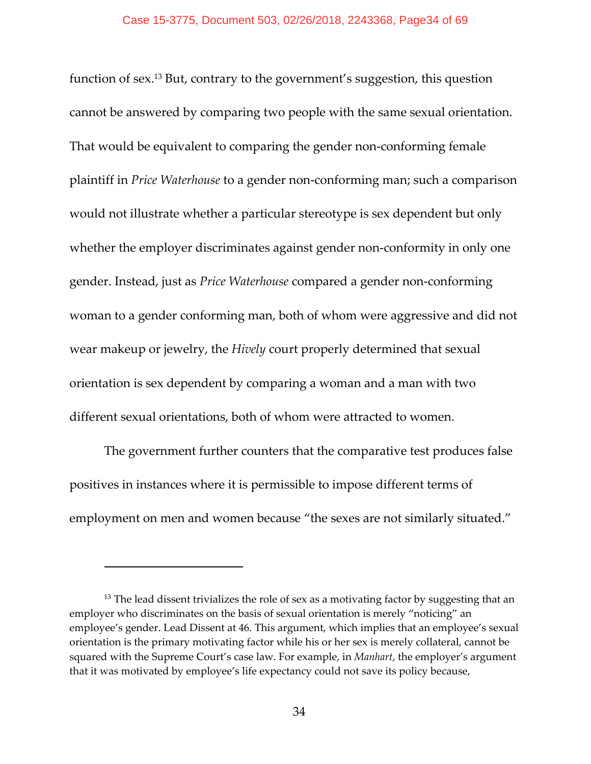function of sex.13 But, contrary to the government's suggestion, this question cannot be answered by comparing two people with the same sexual orientation. That would be equivalent to comparing the gender non‐conforming female plaintiff in *Price Waterhouse* to a gender non‐conforming man; such a comparison would not illustrate whether a particular stereotype is sex dependent but only whether the employer discriminates against gender non-conformity in only one gender. Instead, just as *Price Waterhouse* compared a gender non‐conforming woman to a gender conforming man, both of whom were aggressive and did not wear makeup or jewelry, the *Hively* court properly determined that sexual orientation is sex dependent by comparing a woman and a man with two different sexual orientations, both of whom were attracted to women.

The government further counters that the comparative test produces false positives in instances where it is permissible to impose different terms of employment on men and women because "the sexes are not similarly situated."

 $13$  The lead dissent trivializes the role of sex as a motivating factor by suggesting that an employer who discriminates on the basis of sexual orientation is merely "noticing" an employee's gender. Lead Dissent at 46. This argument, which implies that an employee's sexual orientation is the primary motivating factor while his or her sex is merely collateral, cannot be squared with the Supreme Court's case law. For example, in *Manhart*, the employer's argument that it was motivated by employee's life expectancy could not save its policy because,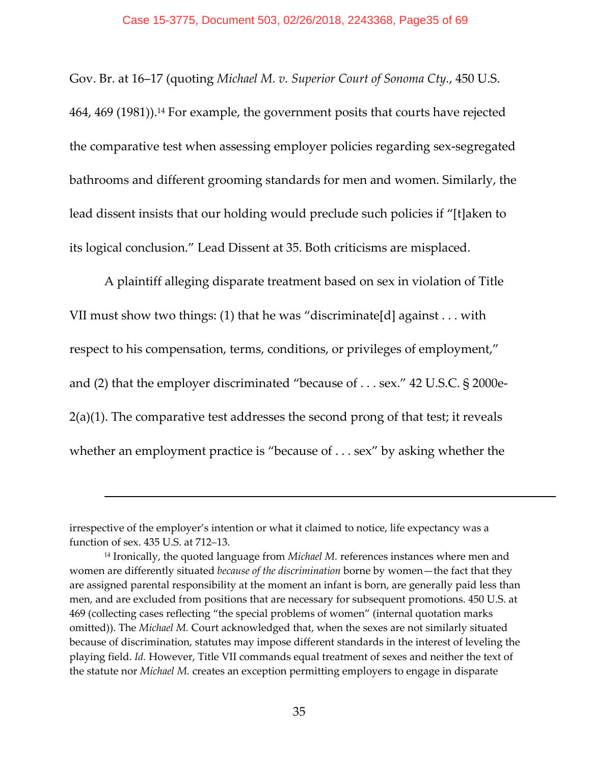Gov. Br. at 16–17 (quoting *Michael M. v. Superior Court of Sonoma Cty.*, 450 U.S. 464, 469 (1981)).14 For example, the government posits that courts have rejected the comparative test when assessing employer policies regarding sex‐segregated bathrooms and different grooming standards for men and women. Similarly, the lead dissent insists that our holding would preclude such policies if "[t]aken to its logical conclusion." Lead Dissent at 35. Both criticisms are misplaced.

A plaintiff alleging disparate treatment based on sex in violation of Title VII must show two things: (1) that he was "discriminate[d] against . . . with respect to his compensation, terms, conditions, or privileges of employment," and (2) that the employer discriminated "because of . . . sex." 42 U.S.C. § 2000e‐ 2(a)(1). The comparative test addresses the second prong of that test; it reveals whether an employment practice is "because of . . . sex" by asking whether the

irrespective of the employer's intention or what it claimed to notice, life expectancy was a function of sex. 435 U.S. at 712–13.

<sup>14</sup> Ironically, the quoted language from *Michael M.* references instances where men and women are differently situated *because of the discrimination* borne by women—the fact that they are assigned parental responsibility at the moment an infant is born, are generally paid less than men, and are excluded from positions that are necessary for subsequent promotions. 450 U.S. at 469 (collecting cases reflecting "the special problems of women" (internal quotation marks omitted)). The *Michael M.* Court acknowledged that, when the sexes are not similarly situated because of discrimination, statutes may impose different standards in the interest of leveling the playing field. *Id.* However, Title VII commands equal treatment of sexes and neither the text of the statute nor *Michael M.* creates an exception permitting employers to engage in disparate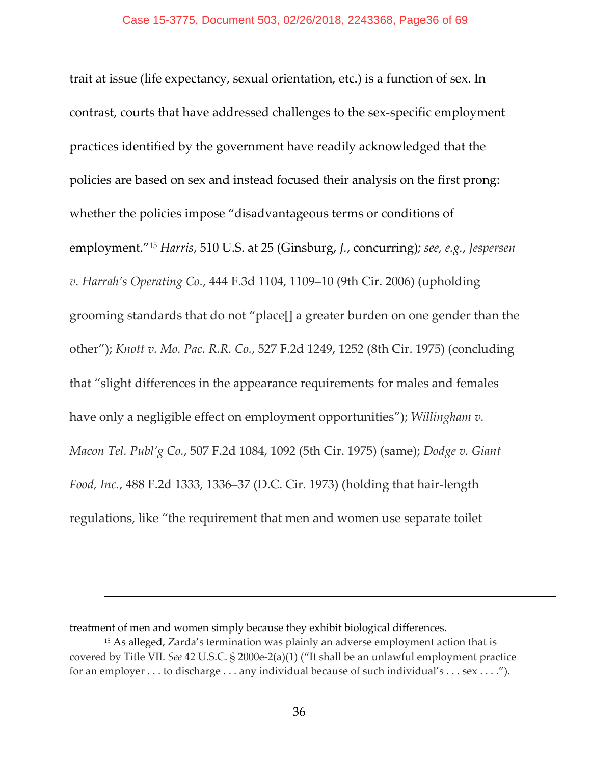trait at issue (life expectancy, sexual orientation, etc.) is a function of sex. In contrast, courts that have addressed challenges to the sex‐specific employment practices identified by the government have readily acknowledged that the policies are based on sex and instead focused their analysis on the first prong: whether the policies impose "disadvantageous terms or conditions of employment."15 *Harris*, 510 U.S. at 25 (Ginsburg, *J.*, concurring)*; see, e.g.*, *Jespersen v. Harrah's Operating Co.*, 444 F.3d 1104, 1109–10 (9th Cir. 2006) (upholding grooming standards that do not "place[] a greater burden on one gender than the other"); *Knott v. Mo. Pac. R.R. Co.*, 527 F.2d 1249, 1252 (8th Cir. 1975) (concluding that "slight differences in the appearance requirements for males and females have only a negligible effect on employment opportunities"); *Willingham v. Macon Tel. Publ'g Co.*, 507 F.2d 1084, 1092 (5th Cir. 1975) (same); *Dodge v. Giant Food, Inc.*, 488 F.2d 1333, 1336–37 (D.C. Cir. 1973) (holding that hair‐length regulations, like "the requirement that men and women use separate toilet

treatment of men and women simply because they exhibit biological differences.

<sup>15</sup> As alleged, Zarda's termination was plainly an adverse employment action that is covered by Title VII. *See* 42 U.S.C. § 2000e‐2(a)(1) ("It shall be an unlawful employment practice for an employer . . . to discharge . . . any individual because of such individual's . . . sex . . . .").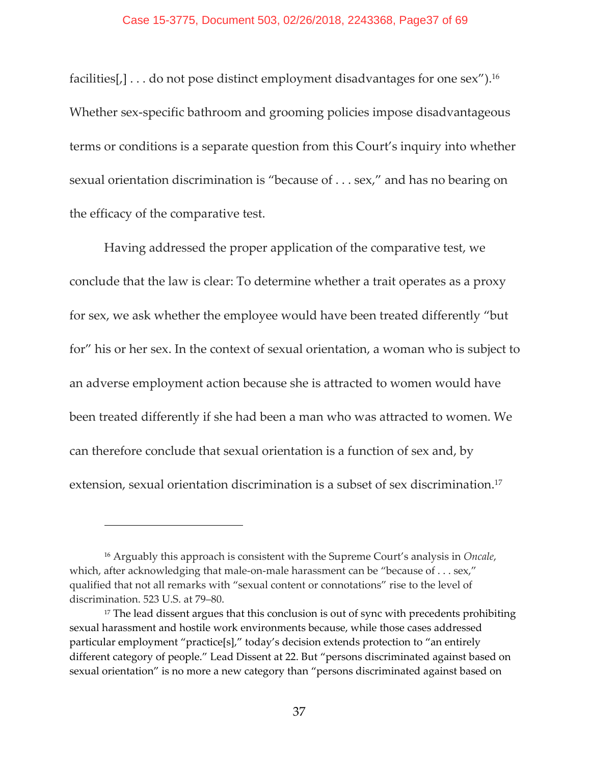facilities[,] . . . do not pose distinct employment disadvantages for one sex").16 Whether sex-specific bathroom and grooming policies impose disadvantageous terms or conditions is a separate question from this Court's inquiry into whether sexual orientation discrimination is "because of . . . sex," and has no bearing on the efficacy of the comparative test.

Having addressed the proper application of the comparative test, we conclude that the law is clear: To determine whether a trait operates as a proxy for sex, we ask whether the employee would have been treated differently "but for" his or her sex. In the context of sexual orientation, a woman who is subject to an adverse employment action because she is attracted to women would have been treated differently if she had been a man who was attracted to women. We can therefore conclude that sexual orientation is a function of sex and, by extension, sexual orientation discrimination is a subset of sex discrimination.17

<sup>16</sup> Arguably this approach is consistent with the Supreme Court's analysis in *Oncale*, which, after acknowledging that male-on-male harassment can be "because of . . . sex," qualified that not all remarks with "sexual content or connotations" rise to the level of discrimination. 523 U.S. at 79–80.

<sup>&</sup>lt;sup>17</sup> The lead dissent argues that this conclusion is out of sync with precedents prohibiting sexual harassment and hostile work environments because, while those cases addressed particular employment "practice[s]," today's decision extends protection to "an entirely different category of people." Lead Dissent at 22. But "persons discriminated against based on sexual orientation" is no more a new category than "persons discriminated against based on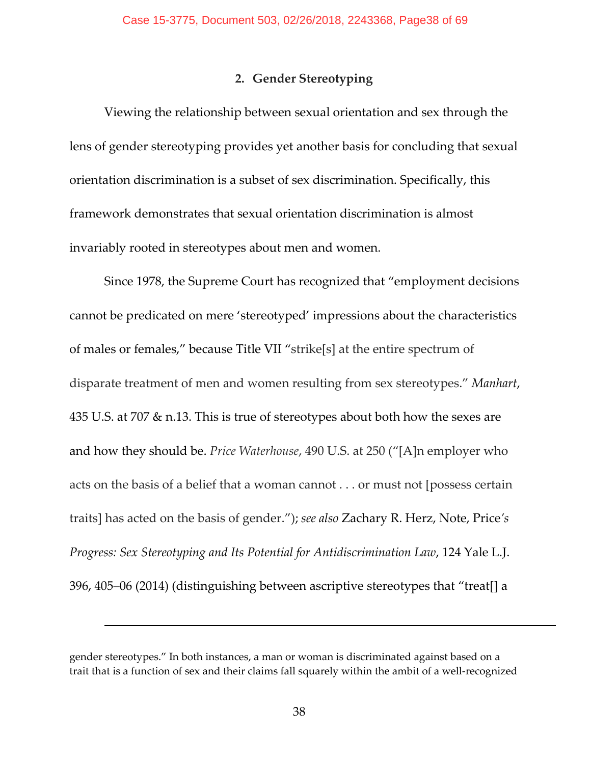# **2. Gender Stereotyping**

Viewing the relationship between sexual orientation and sex through the lens of gender stereotyping provides yet another basis for concluding that sexual orientation discrimination is a subset of sex discrimination. Specifically, this framework demonstrates that sexual orientation discrimination is almost invariably rooted in stereotypes about men and women.

Since 1978, the Supreme Court has recognized that "employment decisions cannot be predicated on mere 'stereotyped' impressions about the characteristics of males or females," because Title VII "strike[s] at the entire spectrum of disparate treatment of men and women resulting from sex stereotypes." *Manhart*, 435 U.S. at 707 & n.13. This is true of stereotypes about both how the sexes are and how they should be. *Price Waterhouse*, 490 U.S. at 250 ("[A]n employer who acts on the basis of a belief that a woman cannot . . . or must not [possess certain traits] has acted on the basis of gender."); *see also* Zachary R. Herz, Note, Price*'s Progress: Sex Stereotyping and Its Potential for Antidiscrimination Law*, 124 Yale L.J. 396, 405–06 (2014) (distinguishing between ascriptive stereotypes that "treat[] a

gender stereotypes." In both instances, a man or woman is discriminated against based on a trait that is a function of sex and their claims fall squarely within the ambit of a well‐recognized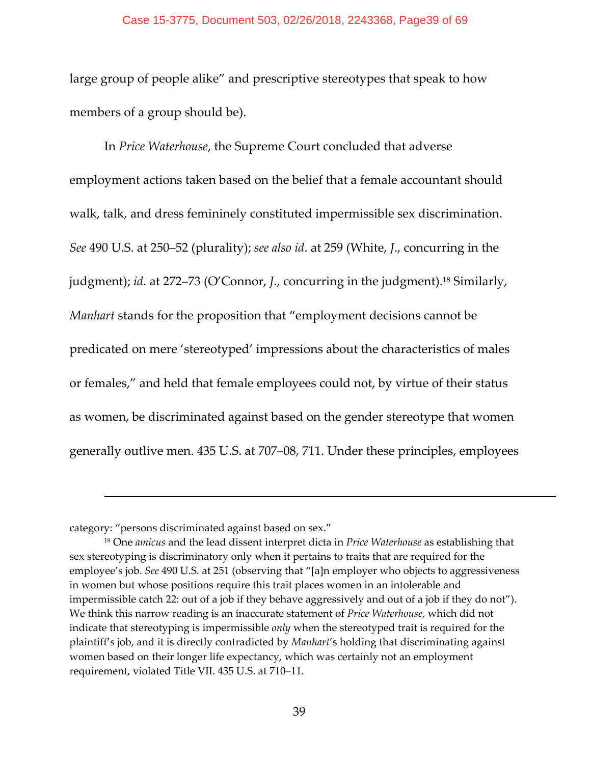### Case 15-3775, Document 503, 02/26/2018, 2243368, Page39 of 69

large group of people alike" and prescriptive stereotypes that speak to how members of a group should be).

In *Price Waterhouse*, the Supreme Court concluded that adverse employment actions taken based on the belief that a female accountant should walk, talk, and dress femininely constituted impermissible sex discrimination. *See* 490 U.S. at 250–52 (plurality); *see also id*. at 259 (White, *J*., concurring in the judgment); *id*. at 272–73 (O'Connor, *J*., concurring in the judgment).18 Similarly, *Manhart* stands for the proposition that "employment decisions cannot be predicated on mere 'stereotyped' impressions about the characteristics of males or females," and held that female employees could not, by virtue of their status as women, be discriminated against based on the gender stereotype that women generally outlive men. 435 U.S. at 707–08, 711. Under these principles, employees

category: "persons discriminated against based on sex."

<sup>18</sup> One *amicus* and the lead dissent interpret dicta in *Price Waterhouse* as establishing that sex stereotyping is discriminatory only when it pertains to traits that are required for the employee's job. *See* 490 U.S. at 251 (observing that "[a]n employer who objects to aggressiveness in women but whose positions require this trait places women in an intolerable and impermissible catch 22: out of a job if they behave aggressively and out of a job if they do not"). We think this narrow reading is an inaccurate statement of *Price Waterhouse*, which did not indicate that stereotyping is impermissible *only* when the stereotyped trait is required for the plaintiff's job, and it is directly contradicted by *Manhart*'s holding that discriminating against women based on their longer life expectancy, which was certainly not an employment requirement, violated Title VII. 435 U.S. at 710–11.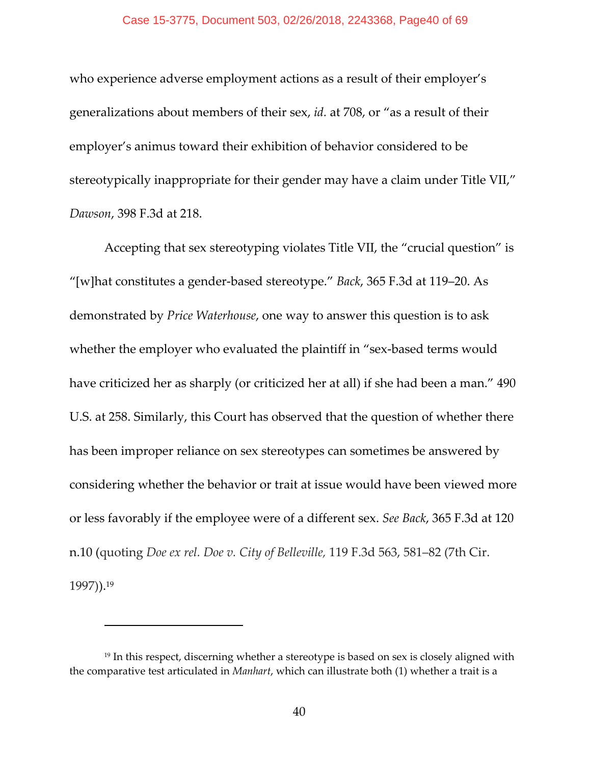who experience adverse employment actions as a result of their employer's generalizations about members of their sex, *id.* at 708, or "as a result of their employer's animus toward their exhibition of behavior considered to be stereotypically inappropriate for their gender may have a claim under Title VII," *Dawson*, 398 F.3d at 218.

Accepting that sex stereotyping violates Title VII, the "crucial question" is "[w]hat constitutes a gender‐based stereotype." *Back*, 365 F.3d at 119–20. As demonstrated by *Price Waterhouse*, one way to answer this question is to ask whether the employer who evaluated the plaintiff in "sex-based terms would have criticized her as sharply (or criticized her at all) if she had been a man." 490 U.S. at 258. Similarly, this Court has observed that the question of whether there has been improper reliance on sex stereotypes can sometimes be answered by considering whether the behavior or trait at issue would have been viewed more or less favorably if the employee were of a different sex. *See Back*, 365 F.3d at 120 n.10 (quoting *Doe ex rel. Doe v. City of Belleville,* 119 F.3d 563, 581–82 (7th Cir. 1997)).19

<sup>&</sup>lt;sup>19</sup> In this respect, discerning whether a stereotype is based on sex is closely aligned with the comparative test articulated in *Manhart*, which can illustrate both (1) whether a trait is a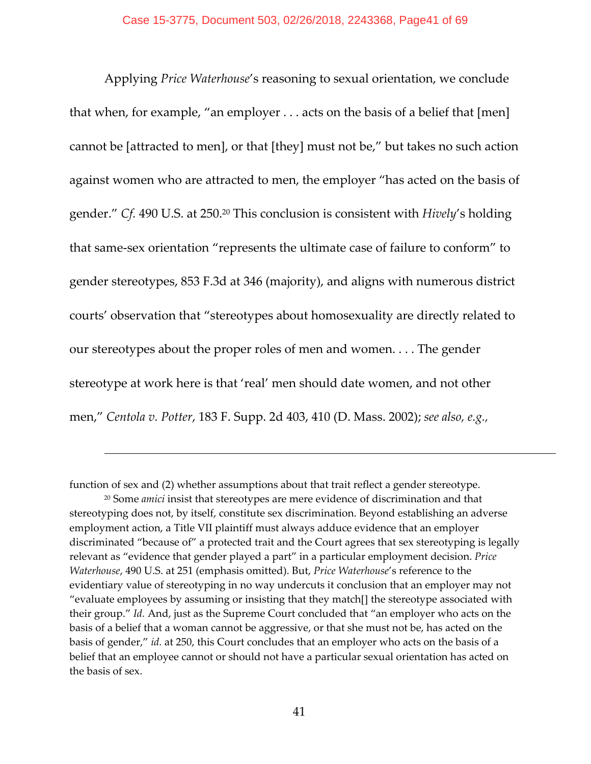Applying *Price Waterhouse*'s reasoning to sexual orientation, we conclude that when, for example, "an employer . . . acts on the basis of a belief that [men] cannot be [attracted to men], or that [they] must not be," but takes no such action against women who are attracted to men, the employer "has acted on the basis of gender." *Cf.* 490 U.S. at 250.20 This conclusion is consistent with *Hively*'s holding that same‐sex orientation "represents the ultimate case of failure to conform" to gender stereotypes, 853 F.3d at 346 (majority), and aligns with numerous district courts' observation that "stereotypes about homosexuality are directly related to our stereotypes about the proper roles of men and women. . . . The gender stereotype at work here is that 'real' men should date women, and not other men," *Centola v. Potter*, 183 F. Supp. 2d 403, 410 (D. Mass. 2002); *see also, e.g.,*

function of sex and (2) whether assumptions about that trait reflect a gender stereotype.

<sup>20</sup> Some *amici* insist that stereotypes are mere evidence of discrimination and that stereotyping does not, by itself, constitute sex discrimination. Beyond establishing an adverse employment action, a Title VII plaintiff must always adduce evidence that an employer discriminated "because of" a protected trait and the Court agrees that sex stereotyping is legally relevant as "evidence that gender played a part" in a particular employment decision. *Price Waterhouse*, 490 U.S. at 251 (emphasis omitted). But, *Price Waterhouse*'s reference to the evidentiary value of stereotyping in no way undercuts it conclusion that an employer may not "evaluate employees by assuming or insisting that they match[] the stereotype associated with their group." *Id.* And, just as the Supreme Court concluded that "an employer who acts on the basis of a belief that a woman cannot be aggressive, or that she must not be, has acted on the basis of gender," *id.* at 250, this Court concludes that an employer who acts on the basis of a belief that an employee cannot or should not have a particular sexual orientation has acted on the basis of sex.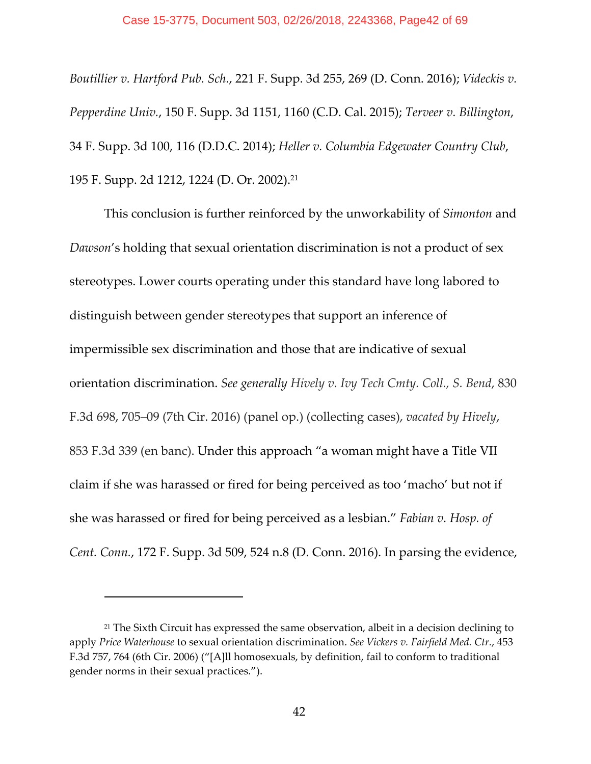*Boutillier v. Hartford Pub. Sch.*, 221 F. Supp. 3d 255, 269 (D. Conn. 2016); *Videckis v. Pepperdine Univ.*, 150 F. Supp. 3d 1151, 1160 (C.D. Cal. 2015); *Terveer v. Billington*, 34 F. Supp. 3d 100, 116 (D.D.C. 2014); *Heller v. Columbia Edgewater Country Club*, 195 F. Supp. 2d 1212, 1224 (D. Or. 2002).21

This conclusion is further reinforced by the unworkability of *Simonton* and *Dawson*'s holding that sexual orientation discrimination is not a product of sex stereotypes. Lower courts operating under this standard have long labored to distinguish between gender stereotypes that support an inference of impermissible sex discrimination and those that are indicative of sexual orientation discrimination. *See generally Hively v. Ivy Tech Cmty. Coll., S. Bend*, 830 F.3d 698, 705–09 (7th Cir. 2016) (panel op.) (collecting cases), *vacated by Hively*, 853 F.3d 339 (en banc). Under this approach "a woman might have a Title VII claim if she was harassed or fired for being perceived as too 'macho' but not if she was harassed or fired for being perceived as a lesbian." *Fabian v. Hosp. of Cent. Conn.*, 172 F. Supp. 3d 509, 524 n.8 (D. Conn. 2016). In parsing the evidence,

 $21$  The Sixth Circuit has expressed the same observation, albeit in a decision declining to apply *Price Waterhouse* to sexual orientation discrimination. *See Vickers v. Fairfield Med. Ctr.*, 453 F.3d 757, 764 (6th Cir. 2006) ("[A]ll homosexuals, by definition, fail to conform to traditional gender norms in their sexual practices.").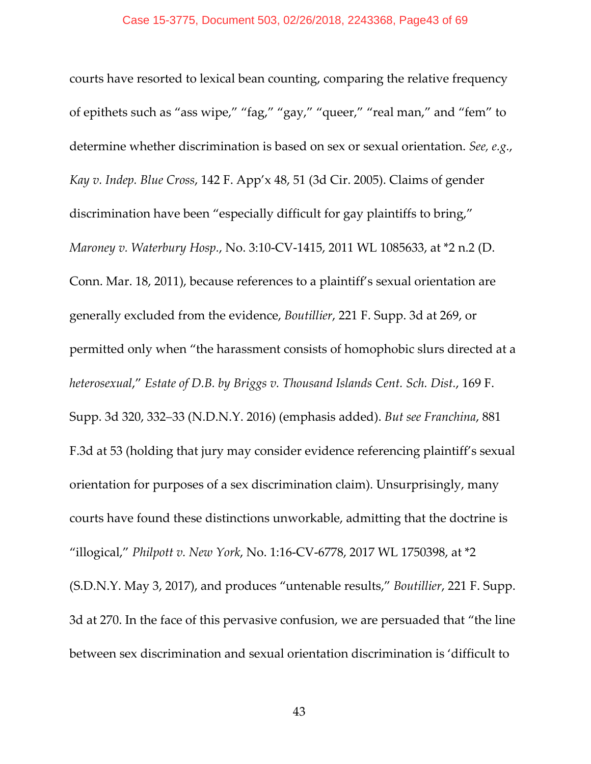courts have resorted to lexical bean counting, comparing the relative frequency of epithets such as "ass wipe," "fag," "gay," "queer," "real man," and "fem" to determine whether discrimination is based on sex or sexual orientation. *See, e.g.*, *Kay v. Indep. Blue Cross*, 142 F. App'x 48, 51 (3d Cir. 2005). Claims of gender discrimination have been "especially difficult for gay plaintiffs to bring," *Maroney v. Waterbury Hosp.*, No. 3:10‐CV‐1415, 2011 WL 1085633, at \*2 n.2 (D. Conn. Mar. 18, 2011), because references to a plaintiff's sexual orientation are generally excluded from the evidence, *Boutillier*, 221 F. Supp. 3d at 269, or permitted only when "the harassment consists of homophobic slurs directed at a *heterosexual*," *Estate of D.B. by Briggs v. Thousand Islands Cent. Sch. Dist.*, 169 F. Supp. 3d 320, 332–33 (N.D.N.Y. 2016) (emphasis added). *But see Franchina*, 881 F.3d at 53 (holding that jury may consider evidence referencing plaintiff's sexual orientation for purposes of a sex discrimination claim). Unsurprisingly, many courts have found these distinctions unworkable, admitting that the doctrine is "illogical," *Philpott v. New York*, No. 1:16‐CV‐6778, 2017 WL 1750398, at \*2 (S.D.N.Y. May 3, 2017), and produces "untenable results," *Boutillier*, 221 F. Supp. 3d at 270. In the face of this pervasive confusion, we are persuaded that "the line between sex discrimination and sexual orientation discrimination is 'difficult to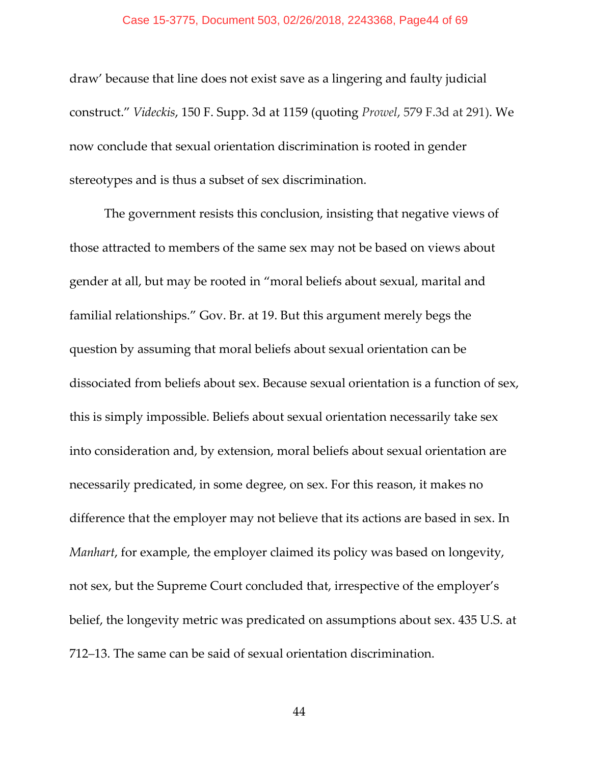draw' because that line does not exist save as a lingering and faulty judicial construct." *Videckis*, 150 F. Supp. 3d at 1159 (quoting *Prowel*, 579 F.3d at 291). We now conclude that sexual orientation discrimination is rooted in gender stereotypes and is thus a subset of sex discrimination.

The government resists this conclusion, insisting that negative views of those attracted to members of the same sex may not be based on views about gender at all, but may be rooted in "moral beliefs about sexual, marital and familial relationships." Gov. Br. at 19. But this argument merely begs the question by assuming that moral beliefs about sexual orientation can be dissociated from beliefs about sex. Because sexual orientation is a function of sex, this is simply impossible. Beliefs about sexual orientation necessarily take sex into consideration and, by extension, moral beliefs about sexual orientation are necessarily predicated, in some degree, on sex. For this reason, it makes no difference that the employer may not believe that its actions are based in sex. In *Manhart*, for example, the employer claimed its policy was based on longevity, not sex, but the Supreme Court concluded that, irrespective of the employer's belief, the longevity metric was predicated on assumptions about sex. 435 U.S. at 712–13. The same can be said of sexual orientation discrimination.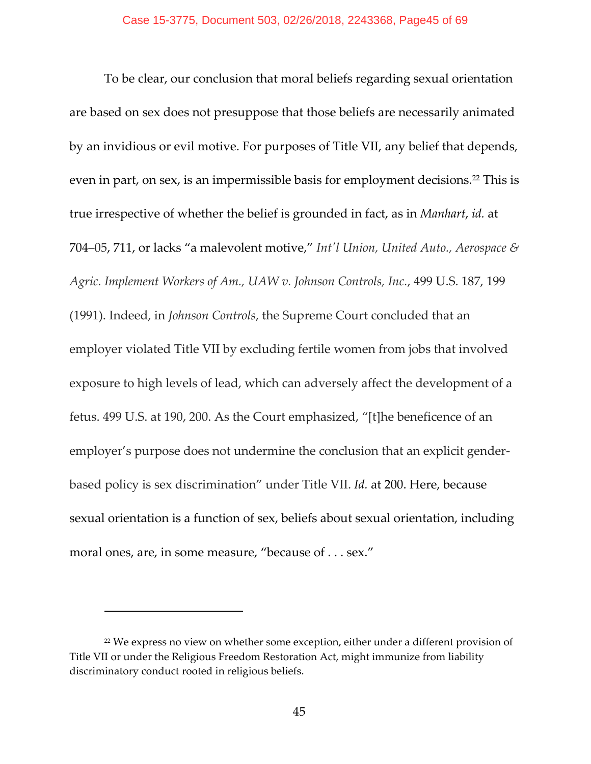To be clear, our conclusion that moral beliefs regarding sexual orientation are based on sex does not presuppose that those beliefs are necessarily animated by an invidious or evil motive. For purposes of Title VII, any belief that depends, even in part, on sex, is an impermissible basis for employment decisions.22 This is true irrespective of whether the belief is grounded in fact, as in *Manhart*, *id.* at 704–05, 711, or lacks "a malevolent motive," *Intʹl Union, United Auto., Aerospace & Agric. Implement Workers of Am., UAW v. Johnson Controls, Inc.*, 499 U.S. 187, 199 (1991). Indeed, in *Johnson Controls*, the Supreme Court concluded that an employer violated Title VII by excluding fertile women from jobs that involved exposure to high levels of lead, which can adversely affect the development of a fetus. 499 U.S. at 190, 200. As the Court emphasized, "[t]he beneficence of an employer's purpose does not undermine the conclusion that an explicit gender‐ based policy is sex discrimination" under Title VII. *Id.* at 200. Here, because sexual orientation is a function of sex, beliefs about sexual orientation, including moral ones, are, in some measure, "because of . . . sex."

<sup>&</sup>lt;sup>22</sup> We express no view on whether some exception, either under a different provision of Title VII or under the Religious Freedom Restoration Act, might immunize from liability discriminatory conduct rooted in religious beliefs.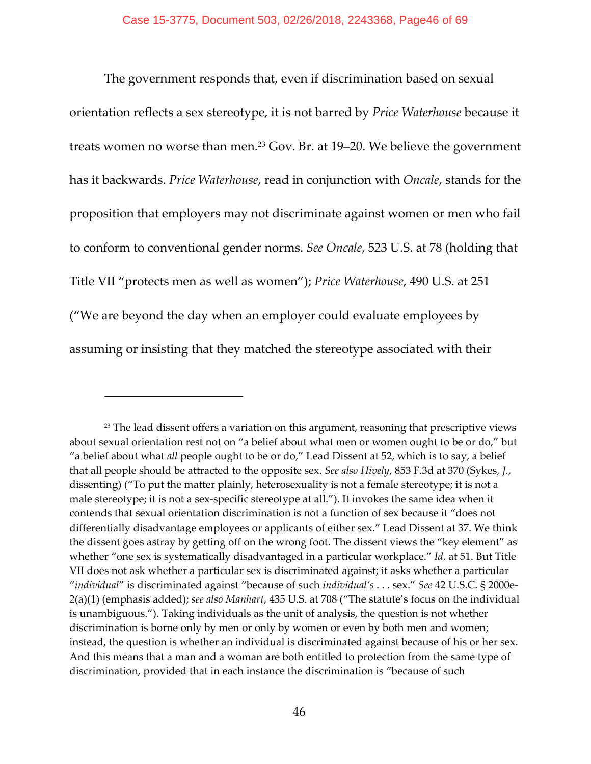The government responds that, even if discrimination based on sexual orientation reflects a sex stereotype, it is not barred by *Price Waterhouse* because it treats women no worse than men.<sup>23</sup> Gov. Br. at 19–20. We believe the government has it backwards. *Price Waterhouse*, read in conjunction with *Oncale*, stands for the proposition that employers may not discriminate against women or men who fail to conform to conventional gender norms. *See Oncale*, 523 U.S. at 78 (holding that Title VII "protects men as well as women"); *Price Waterhouse*, 490 U.S. at 251 ("We are beyond the day when an employer could evaluate employees by assuming or insisting that they matched the stereotype associated with their

 $23$  The lead dissent offers a variation on this argument, reasoning that prescriptive views about sexual orientation rest not on "a belief about what men or women ought to be or do," but "a belief about what *all* people ought to be or do," Lead Dissent at 52, which is to say, a belief that all people should be attracted to the opposite sex. *See also Hively*, 853 F.3d at 370 (Sykes, *J.*, dissenting) ("To put the matter plainly, heterosexuality is not a female stereotype; it is not a male stereotype; it is not a sex-specific stereotype at all."). It invokes the same idea when it contends that sexual orientation discrimination is not a function of sex because it "does not differentially disadvantage employees or applicants of either sex." Lead Dissent at 37. We think the dissent goes astray by getting off on the wrong foot. The dissent views the "key element" as whether "one sex is systematically disadvantaged in a particular workplace." *Id.* at 51. But Title VII does not ask whether a particular sex is discriminated against; it asks whether a particular "*individual*" is discriminated against "because of such *individual's* . . . sex." *See* 42 U.S.C. § 2000e‐ 2(a)(1) (emphasis added); *see also Manhart*, 435 U.S. at 708 ("The statute's focus on the individual is unambiguous."). Taking individuals as the unit of analysis, the question is not whether discrimination is borne only by men or only by women or even by both men and women; instead, the question is whether an individual is discriminated against because of his or her sex. And this means that a man and a woman are both entitled to protection from the same type of discrimination, provided that in each instance the discrimination is "because of such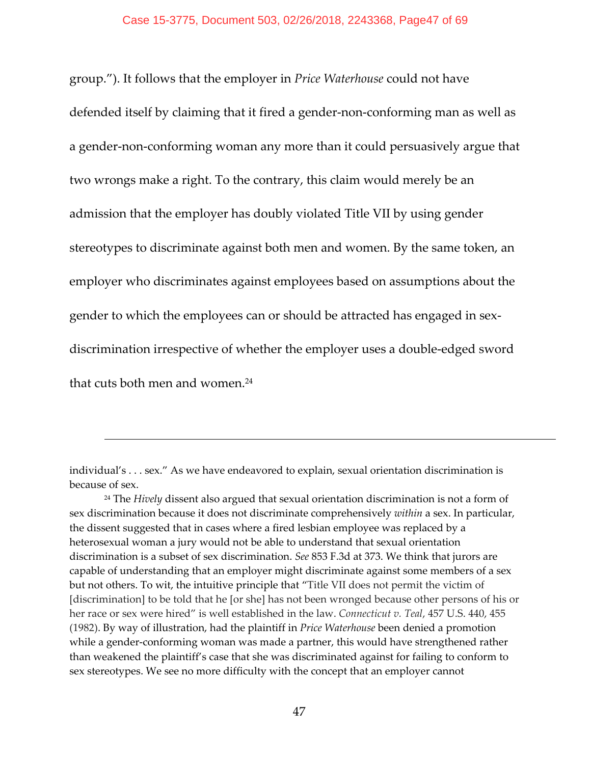group."). It follows that the employer in *Price Waterhouse* could not have defended itself by claiming that it fired a gender‐non‐conforming man as well as a gender‐non‐conforming woman any more than it could persuasively argue that two wrongs make a right. To the contrary, this claim would merely be an admission that the employer has doubly violated Title VII by using gender stereotypes to discriminate against both men and women. By the same token, an employer who discriminates against employees based on assumptions about the gender to which the employees can or should be attracted has engaged in sex‐ discrimination irrespective of whether the employer uses a double‐edged sword that cuts both men and women.24

individual's . . . sex." As we have endeavored to explain, sexual orientation discrimination is because of sex.

<sup>24</sup> The *Hively* dissent also argued that sexual orientation discrimination is not a form of sex discrimination because it does not discriminate comprehensively *within* a sex. In particular, the dissent suggested that in cases where a fired lesbian employee was replaced by a heterosexual woman a jury would not be able to understand that sexual orientation discrimination is a subset of sex discrimination. *See* 853 F.3d at 373. We think that jurors are capable of understanding that an employer might discriminate against some members of a sex but not others. To wit, the intuitive principle that "Title VII does not permit the victim of [discrimination] to be told that he [or she] has not been wronged because other persons of his or her race or sex were hired" is well established in the law. *Connecticut v. Teal*, 457 U.S. 440, 455 (1982). By way of illustration, had the plaintiff in *Price Waterhouse* been denied a promotion while a gender-conforming woman was made a partner, this would have strengthened rather than weakened the plaintiff's case that she was discriminated against for failing to conform to sex stereotypes. We see no more difficulty with the concept that an employer cannot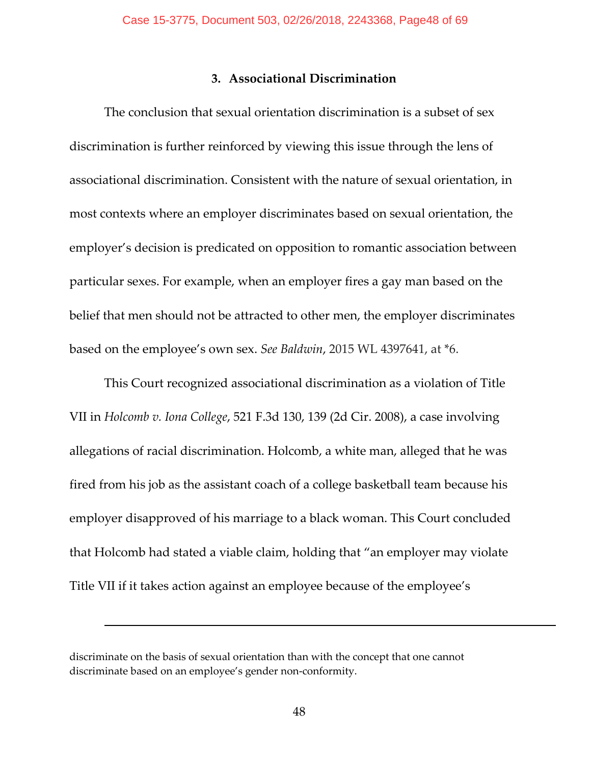## **3. Associational Discrimination**

The conclusion that sexual orientation discrimination is a subset of sex discrimination is further reinforced by viewing this issue through the lens of associational discrimination. Consistent with the nature of sexual orientation, in most contexts where an employer discriminates based on sexual orientation, the employer's decision is predicated on opposition to romantic association between particular sexes. For example, when an employer fires a gay man based on the belief that men should not be attracted to other men, the employer discriminates based on the employee's own sex. *See Baldwin*, 2015 WL 4397641, at \*6.

This Court recognized associational discrimination as a violation of Title VII in *Holcomb v. Iona College*, 521 F.3d 130, 139 (2d Cir. 2008), a case involving allegations of racial discrimination. Holcomb, a white man, alleged that he was fired from his job as the assistant coach of a college basketball team because his employer disapproved of his marriage to a black woman. This Court concluded that Holcomb had stated a viable claim, holding that "an employer may violate Title VII if it takes action against an employee because of the employee's

discriminate on the basis of sexual orientation than with the concept that one cannot discriminate based on an employee's gender non‐conformity.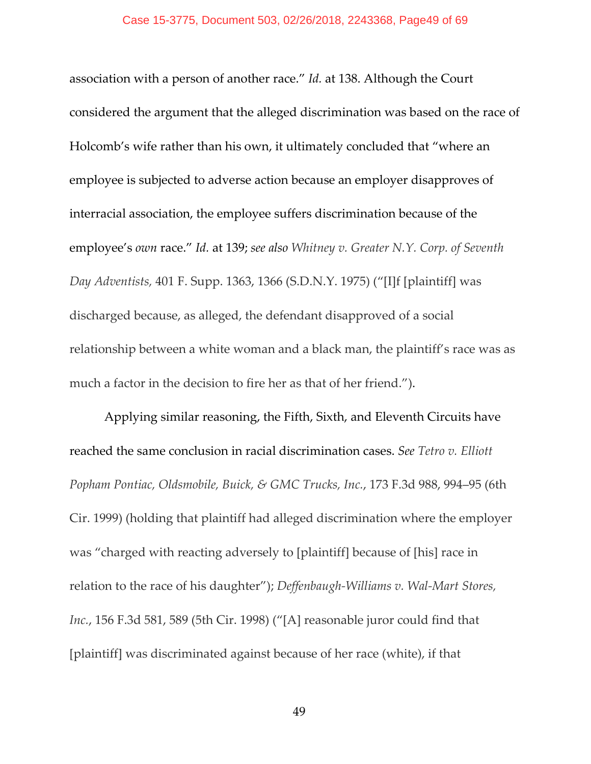association with a person of another race." *Id.* at 138. Although the Court considered the argument that the alleged discrimination was based on the race of Holcomb's wife rather than his own, it ultimately concluded that "where an employee is subjected to adverse action because an employer disapproves of interracial association, the employee suffers discrimination because of the employee's *own* race." *Id.* at 139; *see also Whitney v. Greater N.Y. Corp. of Seventh Day Adventists,* 401 F. Supp. 1363, 1366 (S.D.N.Y. 1975) ("[I]f [plaintiff] was discharged because, as alleged, the defendant disapproved of a social relationship between a white woman and a black man, the plaintiff's race was as much a factor in the decision to fire her as that of her friend.").

Applying similar reasoning, the Fifth, Sixth, and Eleventh Circuits have reached the same conclusion in racial discrimination cases. *See Tetro v. Elliott Popham Pontiac, Oldsmobile, Buick, & GMC Trucks, Inc.*, 173 F.3d 988, 994–95 (6th Cir. 1999) (holding that plaintiff had alleged discrimination where the employer was "charged with reacting adversely to [plaintiff] because of [his] race in relation to the race of his daughter"); *Deffenbaugh‐Williams v. Wal‐Mart Stores, Inc.*, 156 F.3d 581, 589 (5th Cir. 1998) ("[A] reasonable juror could find that [plaintiff] was discriminated against because of her race (white), if that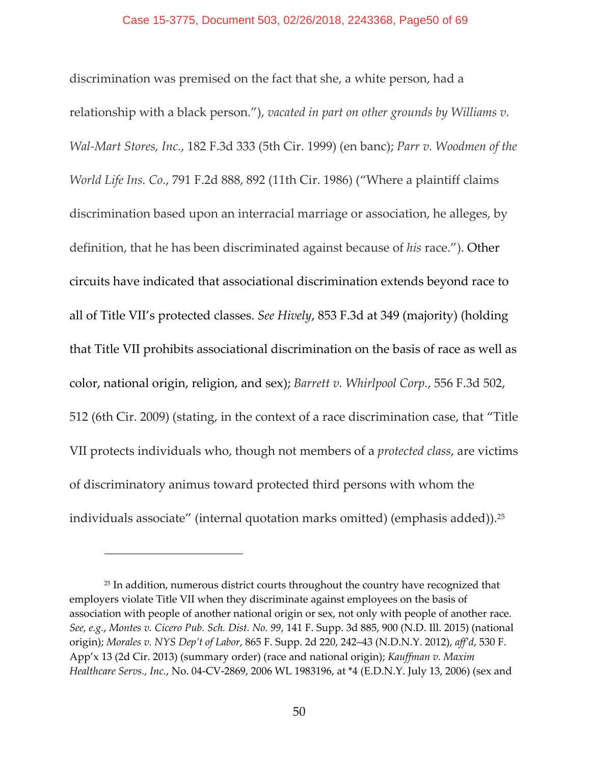discrimination was premised on the fact that she, a white person, had a relationship with a black person."), *vacated in part on other grounds by Williams v. Wal‐Mart Stores, Inc.*, 182 F.3d 333 (5th Cir. 1999) (en banc); *Parr v. Woodmen of the World Life Ins. Co.*, 791 F.2d 888, 892 (11th Cir. 1986) ("Where a plaintiff claims discrimination based upon an interracial marriage or association, he alleges, by definition, that he has been discriminated against because of *his* race."). Other circuits have indicated that associational discrimination extends beyond race to all of Title VII's protected classes. *See Hively*, 853 F.3d at 349 (majority) (holding that Title VII prohibits associational discrimination on the basis of race as well as color, national origin, religion, and sex); *Barrett v. Whirlpool Corp.*, 556 F.3d 502, 512 (6th Cir. 2009) (stating, in the context of a race discrimination case, that "Title VII protects individuals who, though not members of a *protected class*, are victims of discriminatory animus toward protected third persons with whom the individuals associate" (internal quotation marks omitted) (emphasis added)).<sup>25</sup>

<sup>&</sup>lt;sup>25</sup> In addition, numerous district courts throughout the country have recognized that employers violate Title VII when they discriminate against employees on the basis of association with people of another national origin or sex, not only with people of another race. *See, e.g.*, *Montes v. Cicero Pub. Sch. Dist. No. 99*, 141 F. Supp. 3d 885, 900 (N.D. Ill. 2015) (national origin); *Morales v. NYS Dep't of Labor*, 865 F. Supp. 2d 220, 242–43 (N.D.N.Y. 2012), *aff'd*, 530 F. App'x 13 (2d Cir. 2013) (summary order) (race and national origin); *Kauffman v. Maxim Healthcare Servs., Inc.*, No. 04‐CV‐2869, 2006 WL 1983196, at \*4 (E.D.N.Y. July 13, 2006) (sex and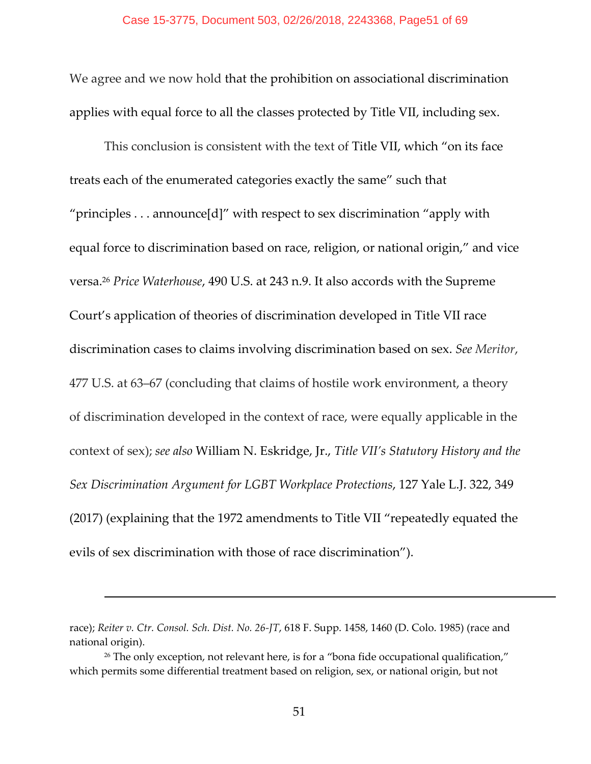We agree and we now hold that the prohibition on associational discrimination applies with equal force to all the classes protected by Title VII, including sex.

This conclusion is consistent with the text of Title VII, which "on its face treats each of the enumerated categories exactly the same" such that "principles . . . announce[d]" with respect to sex discrimination "apply with equal force to discrimination based on race, religion, or national origin," and vice versa.26 *Price Waterhouse*, 490 U.S. at 243 n.9. It also accords with the Supreme Court's application of theories of discrimination developed in Title VII race discrimination cases to claims involving discrimination based on sex. *See Meritor*, 477 U.S. at 63–67 (concluding that claims of hostile work environment, a theory of discrimination developed in the context of race, were equally applicable in the context of sex); *see also* William N. Eskridge, Jr., *Title VII's Statutory History and the Sex Discrimination Argument for LGBT Workplace Protections*, 127 Yale L.J. 322, 349 (2017) (explaining that the 1972 amendments to Title VII "repeatedly equated the evils of sex discrimination with those of race discrimination").

race); *Reiter v. Ctr. Consol. Sch. Dist. No. 26‐JT*, 618 F. Supp. 1458, 1460 (D. Colo. 1985) (race and national origin).

<sup>&</sup>lt;sup>26</sup> The only exception, not relevant here, is for a "bona fide occupational qualification," which permits some differential treatment based on religion, sex, or national origin, but not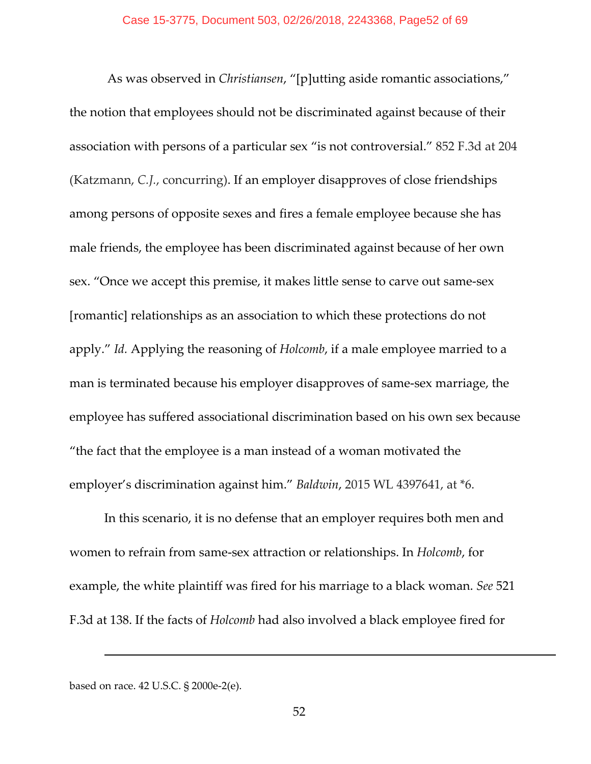As was observed in *Christiansen*, "[p]utting aside romantic associations," the notion that employees should not be discriminated against because of their association with persons of a particular sex "is not controversial." 852 F.3d at 204 (Katzmann, *C.J.*, concurring). If an employer disapproves of close friendships among persons of opposite sexes and fires a female employee because she has male friends, the employee has been discriminated against because of her own sex. "Once we accept this premise, it makes little sense to carve out same-sex [romantic] relationships as an association to which these protections do not apply." *Id.* Applying the reasoning of *Holcomb*, if a male employee married to a man is terminated because his employer disapproves of same‐sex marriage, the employee has suffered associational discrimination based on his own sex because "the fact that the employee is a man instead of a woman motivated the employer's discrimination against him." *Baldwin*, 2015 WL 4397641, at \*6.

In this scenario, it is no defense that an employer requires both men and women to refrain from same‐sex attraction or relationships. In *Holcomb*, for example, the white plaintiff was fired for his marriage to a black woman. *See* 521 F.3d at 138. If the facts of *Holcomb* had also involved a black employee fired for

based on race. 42 U.S.C. § 2000e‐2(e).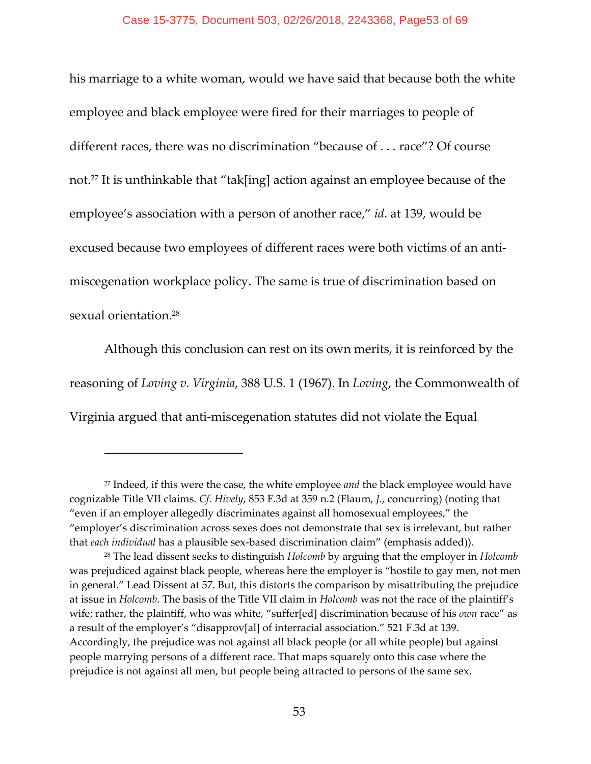his marriage to a white woman, would we have said that because both the white employee and black employee were fired for their marriages to people of different races, there was no discrimination "because of . . . race"? Of course not.27 It is unthinkable that "tak[ing] action against an employee because of the employee's association with a person of another race," *id*. at 139, would be excused because two employees of different races were both victims of an anti‐ miscegenation workplace policy. The same is true of discrimination based on sexual orientation.28

Although this conclusion can rest on its own merits, it is reinforced by the reasoning of *Loving v. Virginia*, 388 U.S. 1 (1967). In *Loving*, the Commonwealth of Virginia argued that anti‐miscegenation statutes did not violate the Equal

<sup>27</sup> Indeed, if this were the case, the white employee *and* the black employee would have cognizable Title VII claims. *Cf. Hively*, 853 F.3d at 359 n.2 (Flaum, *J.*, concurring) (noting that "even if an employer allegedly discriminates against all homosexual employees," the "employer's discrimination across sexes does not demonstrate that sex is irrelevant, but rather that *each individual* has a plausible sex‐based discrimination claim" (emphasis added)).

<sup>28</sup> The lead dissent seeks to distinguish *Holcomb* by arguing that the employer in *Holcomb* was prejudiced against black people, whereas here the employer is "hostile to gay men, not men in general." Lead Dissent at 57. But, this distorts the comparison by misattributing the prejudice at issue in *Holcomb*. The basis of the Title VII claim in *Holcomb* was not the race of the plaintiff's wife; rather, the plaintiff, who was white, "suffer[ed] discrimination because of his *own* race" as a result of the employer's "disapprov[al] of interracial association." 521 F.3d at 139. Accordingly, the prejudice was not against all black people (or all white people) but against people marrying persons of a different race. That maps squarely onto this case where the prejudice is not against all men, but people being attracted to persons of the same sex.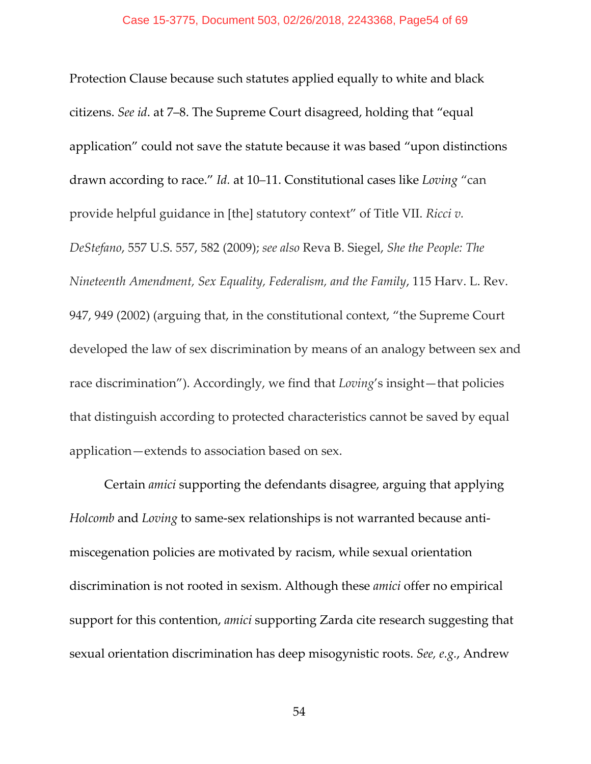Protection Clause because such statutes applied equally to white and black citizens. *See id*. at 7–8. The Supreme Court disagreed, holding that "equal application" could not save the statute because it was based "upon distinctions drawn according to race." *Id.* at 10–11. Constitutional cases like *Loving* "can provide helpful guidance in [the] statutory context" of Title VII. *Ricci v. DeStefano*, 557 U.S. 557, 582 (2009); *see also* Reva B. Siegel, *She the People: The Nineteenth Amendment, Sex Equality, Federalism, and the Family*, 115 Harv. L. Rev. 947, 949 (2002) (arguing that, in the constitutional context, "the Supreme Court developed the law of sex discrimination by means of an analogy between sex and race discrimination"). Accordingly, we find that *Loving*'s insight—that policies that distinguish according to protected characteristics cannot be saved by equal application—extends to association based on sex.

Certain *amici* supporting the defendants disagree, arguing that applying *Holcomb* and *Loving* to same‐sex relationships is not warranted because anti‐ miscegenation policies are motivated by racism, while sexual orientation discrimination is not rooted in sexism. Although these *amici* offer no empirical support for this contention, *amici* supporting Zarda cite research suggesting that sexual orientation discrimination has deep misogynistic roots. *See, e.g.*, Andrew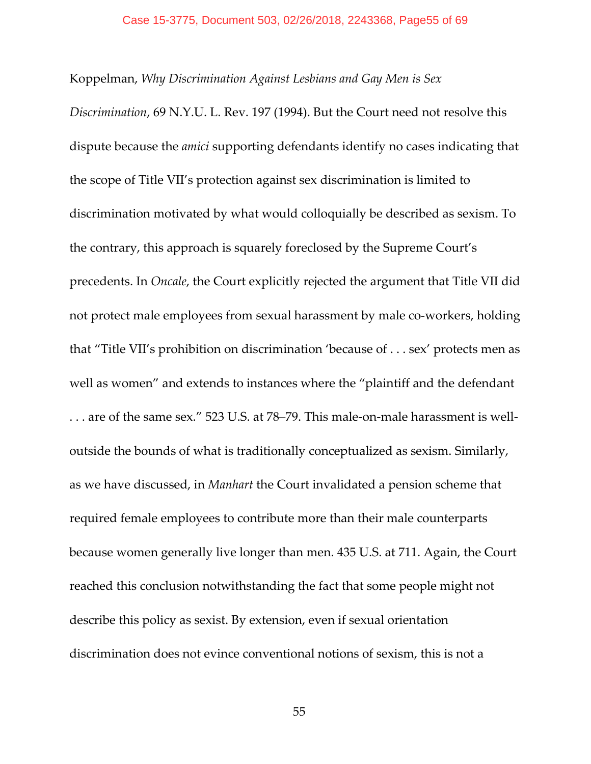Koppelman, *Why Discrimination Against Lesbians and Gay Men is Sex*

*Discrimination*, 69 N.Y.U. L. Rev. 197 (1994). But the Court need not resolve this dispute because the *amici* supporting defendants identify no cases indicating that the scope of Title VII's protection against sex discrimination is limited to discrimination motivated by what would colloquially be described as sexism. To the contrary, this approach is squarely foreclosed by the Supreme Court's precedents. In *Oncale*, the Court explicitly rejected the argument that Title VII did not protect male employees from sexual harassment by male co-workers, holding that "Title VII's prohibition on discrimination 'because of . . . sex' protects men as well as women" and extends to instances where the "plaintiff and the defendant . . . are of the same sex." 523 U.S. at 78–79. This male‐on‐male harassment is well‐ outside the bounds of what is traditionally conceptualized as sexism. Similarly, as we have discussed, in *Manhart* the Court invalidated a pension scheme that required female employees to contribute more than their male counterparts because women generally live longer than men. 435 U.S. at 711. Again, the Court reached this conclusion notwithstanding the fact that some people might not describe this policy as sexist. By extension, even if sexual orientation discrimination does not evince conventional notions of sexism, this is not a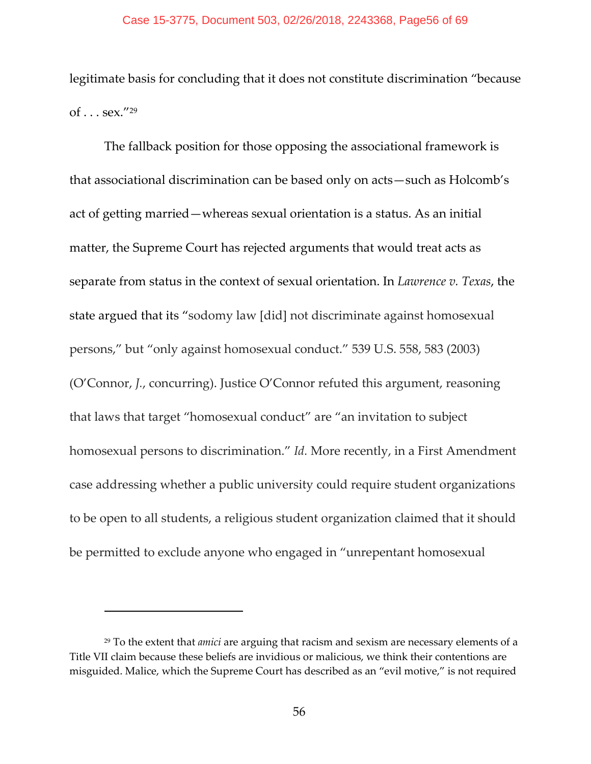legitimate basis for concluding that it does not constitute discrimination "because of  $\ldots$  sex."<sup>29</sup>

The fallback position for those opposing the associational framework is that associational discrimination can be based only on acts—such as Holcomb's act of getting married—whereas sexual orientation is a status. As an initial matter, the Supreme Court has rejected arguments that would treat acts as separate from status in the context of sexual orientation. In *Lawrence v. Texas*, the state argued that its "sodomy law [did] not discriminate against homosexual persons," but "only against homosexual conduct." 539 U.S. 558, 583 (2003) (O'Connor, *J.*, concurring). Justice O'Connor refuted this argument, reasoning that laws that target "homosexual conduct" are "an invitation to subject homosexual persons to discrimination." *Id.* More recently, in a First Amendment case addressing whether a public university could require student organizations to be open to all students, a religious student organization claimed that it should be permitted to exclude anyone who engaged in "unrepentant homosexual

<sup>29</sup> To the extent that *amici* are arguing that racism and sexism are necessary elements of a Title VII claim because these beliefs are invidious or malicious, we think their contentions are misguided. Malice, which the Supreme Court has described as an "evil motive," is not required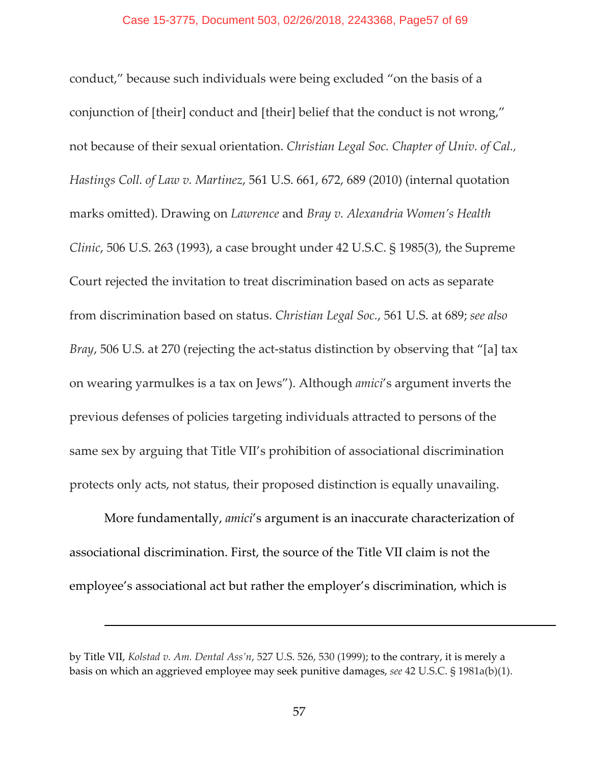conduct," because such individuals were being excluded "on the basis of a conjunction of [their] conduct and [their] belief that the conduct is not wrong," not because of their sexual orientation. *Christian Legal Soc. Chapter of Univ. of Cal., Hastings Coll. of Law v. Martinez*, 561 U.S. 661, 672, 689 (2010) (internal quotation marks omitted). Drawing on *Lawrence* and *Bray v. Alexandria Women's Health Clinic*, 506 U.S. 263 (1993), a case brought under 42 U.S.C. § 1985(3), the Supreme Court rejected the invitation to treat discrimination based on acts as separate from discrimination based on status. *Christian Legal Soc.*, 561 U.S. at 689; *see also Bray*, 506 U.S. at 270 (rejecting the act-status distinction by observing that "[a] tax on wearing yarmulkes is a tax on Jews"). Although *amici*'s argument inverts the previous defenses of policies targeting individuals attracted to persons of the same sex by arguing that Title VII's prohibition of associational discrimination protects only acts, not status, their proposed distinction is equally unavailing.

More fundamentally, *amici*'s argument is an inaccurate characterization of associational discrimination. First, the source of the Title VII claim is not the employee's associational act but rather the employer's discrimination, which is

<u> 1989 - Andrea Santa Andrea Andrea Andrea Andrea Andrea Andrea Andrea Andrea Andrea Andrea Andrea Andrea Andr</u>

by Title VII, *Kolstad v. Am. Dental Ass'n*, 527 U.S. 526, 530 (1999); to the contrary, it is merely a basis on which an aggrieved employee may seek punitive damages, *see* 42 U.S.C. § 1981a(b)(1).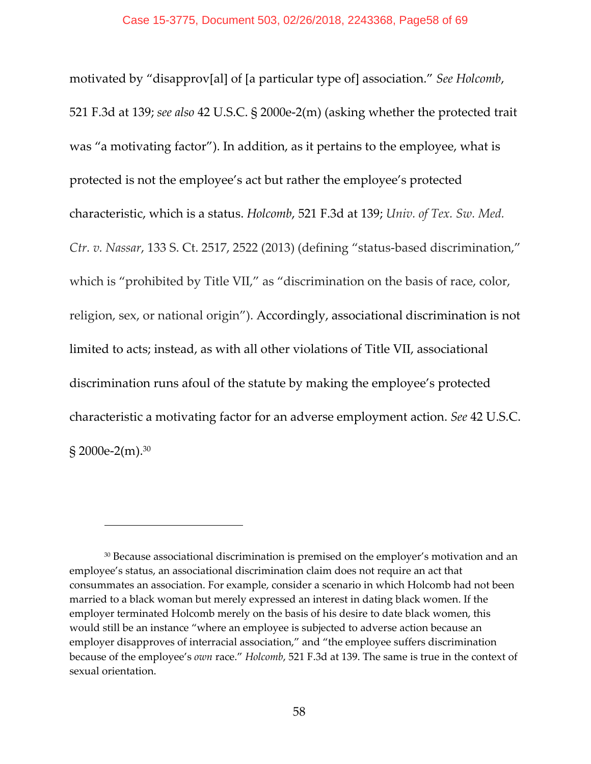motivated by "disapprov[al] of [a particular type of] association." *See Holcomb*, 521 F.3d at 139; *see also* 42 U.S.C. § 2000e‐2(m) (asking whether the protected trait was "a motivating factor"). In addition, as it pertains to the employee, what is protected is not the employee's act but rather the employee's protected characteristic, which is a status. *Holcomb*, 521 F.3d at 139; *Univ. of Tex. Sw. Med. Ctr. v. Nassar*, 133 S. Ct. 2517, 2522 (2013) (defining "status‐based discrimination," which is "prohibited by Title VII," as "discrimination on the basis of race, color, religion, sex, or national origin"). Accordingly, associational discrimination is not limited to acts; instead, as with all other violations of Title VII, associational discrimination runs afoul of the statute by making the employee's protected characteristic a motivating factor for an adverse employment action. *See* 42 U.S.C.  $$2000e-2(m).$ <sup>30</sup>

<sup>&</sup>lt;sup>30</sup> Because associational discrimination is premised on the employer's motivation and an employee's status, an associational discrimination claim does not require an act that consummates an association. For example, consider a scenario in which Holcomb had not been married to a black woman but merely expressed an interest in dating black women. If the employer terminated Holcomb merely on the basis of his desire to date black women, this would still be an instance "where an employee is subjected to adverse action because an employer disapproves of interracial association," and "the employee suffers discrimination because of the employee's *own* race." *Holcomb*, 521 F.3d at 139. The same is true in the context of sexual orientation.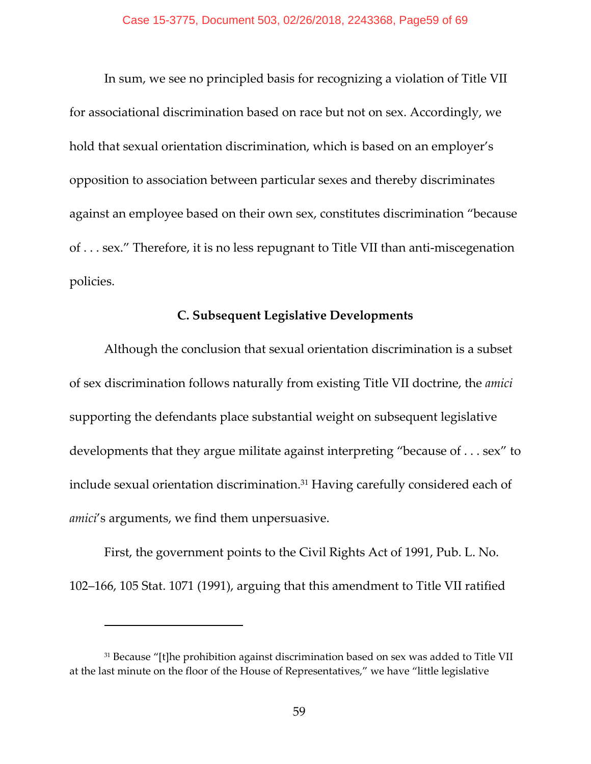In sum, we see no principled basis for recognizing a violation of Title VII for associational discrimination based on race but not on sex. Accordingly, we hold that sexual orientation discrimination, which is based on an employer's opposition to association between particular sexes and thereby discriminates against an employee based on their own sex, constitutes discrimination "because of . . . sex." Therefore, it is no less repugnant to Title VII than anti‐miscegenation policies.

## **C. Subsequent Legislative Developments**

Although the conclusion that sexual orientation discrimination is a subset of sex discrimination follows naturally from existing Title VII doctrine, the *amici* supporting the defendants place substantial weight on subsequent legislative developments that they argue militate against interpreting "because of . . . sex" to include sexual orientation discrimination.31 Having carefully considered each of *amici*'s arguments, we find them unpersuasive.

First, the government points to the Civil Rights Act of 1991, Pub. L. No. 102–166, 105 Stat. 1071 (1991), arguing that this amendment to Title VII ratified

<sup>&</sup>lt;sup>31</sup> Because "[t]he prohibition against discrimination based on sex was added to Title VII at the last minute on the floor of the House of Representatives," we have "little legislative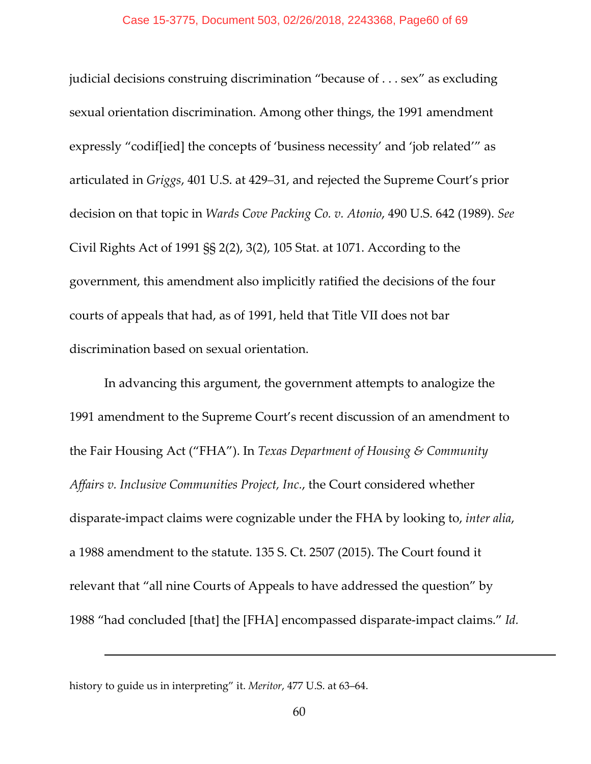judicial decisions construing discrimination "because of . . . sex" as excluding sexual orientation discrimination. Among other things, the 1991 amendment expressly "codif[ied] the concepts of 'business necessity' and 'job related'" as articulated in *Griggs*, 401 U.S. at 429–31, and rejected the Supreme Court's prior decision on that topic in *Wards Cove Packing Co. v. Atonio*, 490 U.S. 642 (1989). *See* Civil Rights Act of 1991 §§ 2(2), 3(2), 105 Stat. at 1071. According to the government, this amendment also implicitly ratified the decisions of the four courts of appeals that had, as of 1991, held that Title VII does not bar discrimination based on sexual orientation.

In advancing this argument, the government attempts to analogize the 1991 amendment to the Supreme Court's recent discussion of an amendment to the Fair Housing Act ("FHA"). In *Texas Department of Housing & Community Affairs v. Inclusive Communities Project, Inc.*, the Court considered whether disparate‐impact claims were cognizable under the FHA by looking to, *inter alia*, a 1988 amendment to the statute. 135 S. Ct. 2507 (2015). The Court found it relevant that "all nine Courts of Appeals to have addressed the question" by 1988 "had concluded [that] the [FHA] encompassed disparate‐impact claims." *Id.*

history to guide us in interpreting" it. *Meritor*, 477 U.S. at 63–64.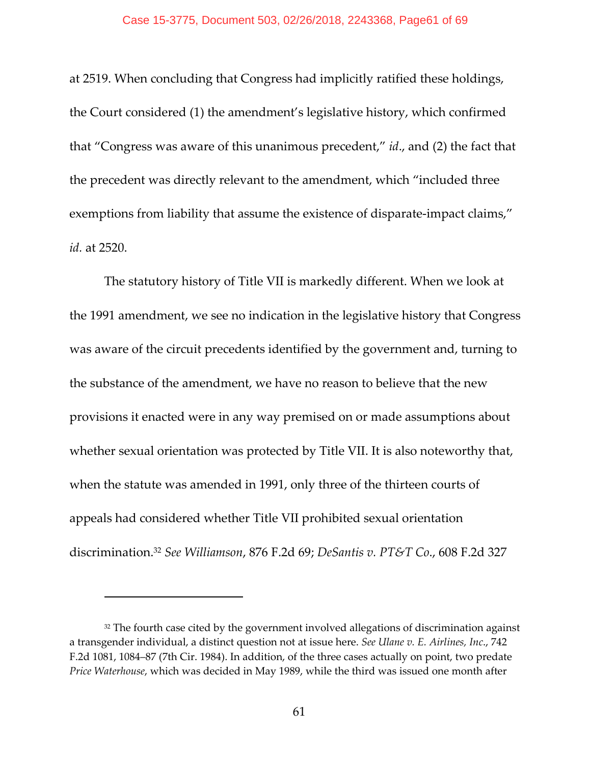at 2519. When concluding that Congress had implicitly ratified these holdings, the Court considered (1) the amendment's legislative history, which confirmed that "Congress was aware of this unanimous precedent," *id*., and (2) the fact that the precedent was directly relevant to the amendment, which "included three exemptions from liability that assume the existence of disparate-impact claims," *id.* at 2520.

The statutory history of Title VII is markedly different. When we look at the 1991 amendment, we see no indication in the legislative history that Congress was aware of the circuit precedents identified by the government and, turning to the substance of the amendment, we have no reason to believe that the new provisions it enacted were in any way premised on or made assumptions about whether sexual orientation was protected by Title VII. It is also noteworthy that, when the statute was amended in 1991, only three of the thirteen courts of appeals had considered whether Title VII prohibited sexual orientation discrimination.32 *See Williamson*, 876 F.2d 69; *DeSantis v. PT&T Co*., 608 F.2d 327

<sup>&</sup>lt;sup>32</sup> The fourth case cited by the government involved allegations of discrimination against a transgender individual, a distinct question not at issue here. *See Ulane v. E. Airlines, Inc*., 742 F.2d 1081, 1084–87 (7th Cir. 1984). In addition, of the three cases actually on point, two predate *Price Waterhouse*, which was decided in May 1989, while the third was issued one month after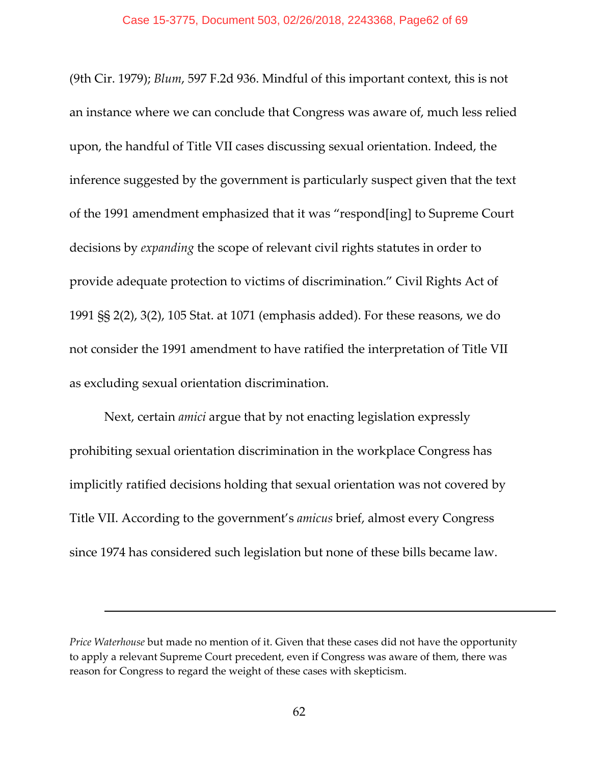(9th Cir. 1979); *Blum*, 597 F.2d 936. Mindful of this important context, this is not an instance where we can conclude that Congress was aware of, much less relied upon, the handful of Title VII cases discussing sexual orientation. Indeed, the inference suggested by the government is particularly suspect given that the text of the 1991 amendment emphasized that it was "respond[ing] to Supreme Court decisions by *expanding* the scope of relevant civil rights statutes in order to provide adequate protection to victims of discrimination." Civil Rights Act of 1991 §§ 2(2), 3(2), 105 Stat. at 1071 (emphasis added). For these reasons, we do not consider the 1991 amendment to have ratified the interpretation of Title VII as excluding sexual orientation discrimination.

Next, certain *amici* argue that by not enacting legislation expressly prohibiting sexual orientation discrimination in the workplace Congress has implicitly ratified decisions holding that sexual orientation was not covered by Title VII. According to the government's *amicus* brief, almost every Congress since 1974 has considered such legislation but none of these bills became law.

*Price Waterhouse* but made no mention of it. Given that these cases did not have the opportunity to apply a relevant Supreme Court precedent, even if Congress was aware of them, there was reason for Congress to regard the weight of these cases with skepticism.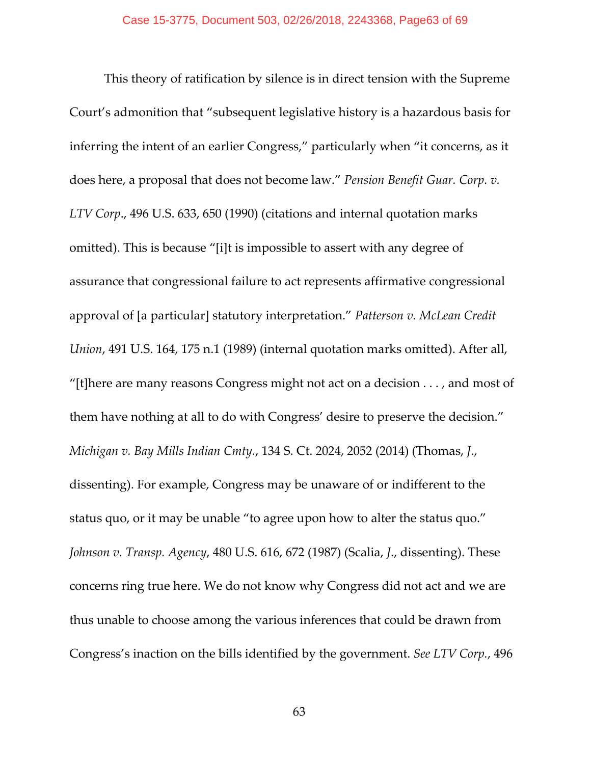This theory of ratification by silence is in direct tension with the Supreme Court's admonition that "subsequent legislative history is a hazardous basis for inferring the intent of an earlier Congress," particularly when "it concerns, as it does here, a proposal that does not become law." *Pension Benefit Guar. Corp. v. LTV Corp*., 496 U.S. 633, 650 (1990) (citations and internal quotation marks omitted). This is because "[i]t is impossible to assert with any degree of assurance that congressional failure to act represents affirmative congressional approval of [a particular] statutory interpretation." *Patterson v. McLean Credit Union*, 491 U.S. 164, 175 n.1 (1989) (internal quotation marks omitted). After all, "[t]here are many reasons Congress might not act on a decision . . . , and most of them have nothing at all to do with Congress' desire to preserve the decision." *Michigan v. Bay Mills Indian Cmty.*, 134 S. Ct. 2024, 2052 (2014) (Thomas, *J*., dissenting). For example, Congress may be unaware of or indifferent to the status quo, or it may be unable "to agree upon how to alter the status quo." *Johnson v. Transp. Agency*, 480 U.S. 616, 672 (1987) (Scalia, *J*., dissenting). These concerns ring true here. We do not know why Congress did not act and we are thus unable to choose among the various inferences that could be drawn from Congress's inaction on the bills identified by the government. *See LTV Corp.*, 496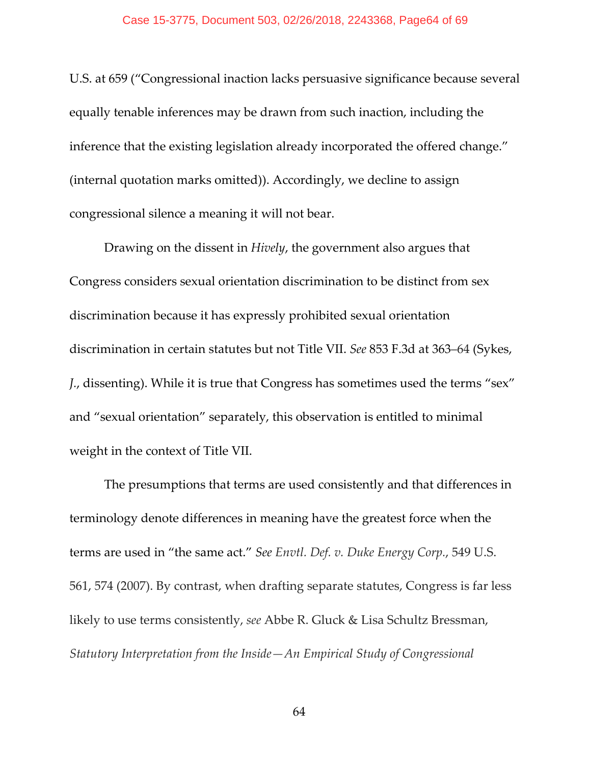U.S. at 659 ("Congressional inaction lacks persuasive significance because several equally tenable inferences may be drawn from such inaction, including the inference that the existing legislation already incorporated the offered change." (internal quotation marks omitted)). Accordingly, we decline to assign congressional silence a meaning it will not bear.

Drawing on the dissent in *Hively*, the government also argues that Congress considers sexual orientation discrimination to be distinct from sex discrimination because it has expressly prohibited sexual orientation discrimination in certain statutes but not Title VII. *See* 853 F.3d at 363–64 (Sykes, *J.*, dissenting). While it is true that Congress has sometimes used the terms "sex" and "sexual orientation" separately, this observation is entitled to minimal weight in the context of Title VII.

The presumptions that terms are used consistently and that differences in terminology denote differences in meaning have the greatest force when the terms are used in "the same act." *See Envtl. Def. v. Duke Energy Corp.*, 549 U.S. 561, 574 (2007). By contrast, when drafting separate statutes, Congress is far less likely to use terms consistently, *see* Abbe R. Gluck & Lisa Schultz Bressman, *Statutory Interpretation from the Inside—An Empirical Study of Congressional*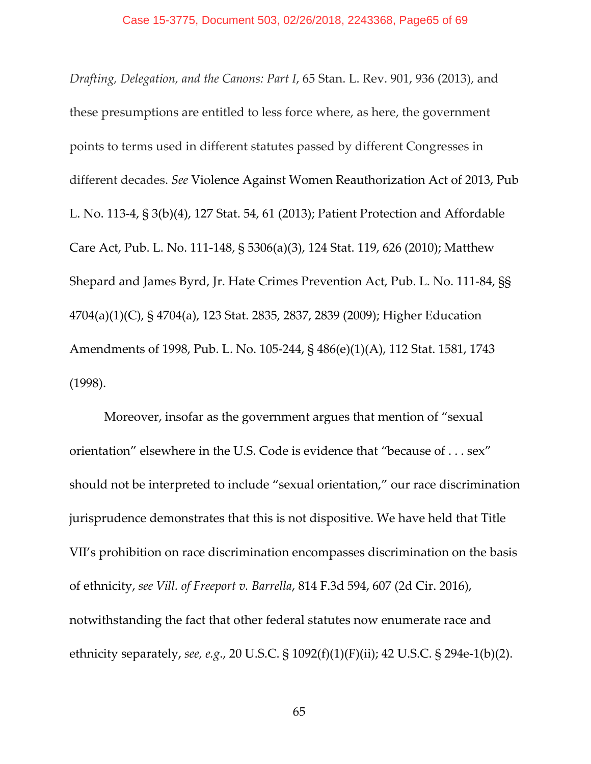*Drafting, Delegation, and the Canons: Part I*, 65 Stan. L. Rev. 901, 936 (2013), and these presumptions are entitled to less force where, as here, the government points to terms used in different statutes passed by different Congresses in different decades. *See* Violence Against Women Reauthorization Act of 2013, Pub L. No. 113‐4, § 3(b)(4), 127 Stat. 54, 61 (2013); Patient Protection and Affordable Care Act, Pub. L. No. 111‐148, § 5306(a)(3), 124 Stat. 119, 626 (2010); Matthew Shepard and James Byrd, Jr. Hate Crimes Prevention Act, Pub. L. No. 111‐84, §§ 4704(a)(1)(C), § 4704(a), 123 Stat. 2835, 2837, 2839 (2009); Higher Education Amendments of 1998, Pub. L. No. 105‐244, § 486(e)(1)(A), 112 Stat. 1581, 1743 (1998).

Moreover, insofar as the government argues that mention of "sexual orientation" elsewhere in the U.S. Code is evidence that "because of . . . sex" should not be interpreted to include "sexual orientation," our race discrimination jurisprudence demonstrates that this is not dispositive. We have held that Title VII's prohibition on race discrimination encompasses discrimination on the basis of ethnicity, *see Vill. of Freeport v. Barrella*, 814 F.3d 594, 607 (2d Cir. 2016), notwithstanding the fact that other federal statutes now enumerate race and ethnicity separately, *see, e.g*., 20 U.S.C. § 1092(f)(1)(F)(ii); 42 U.S.C. § 294e‐1(b)(2).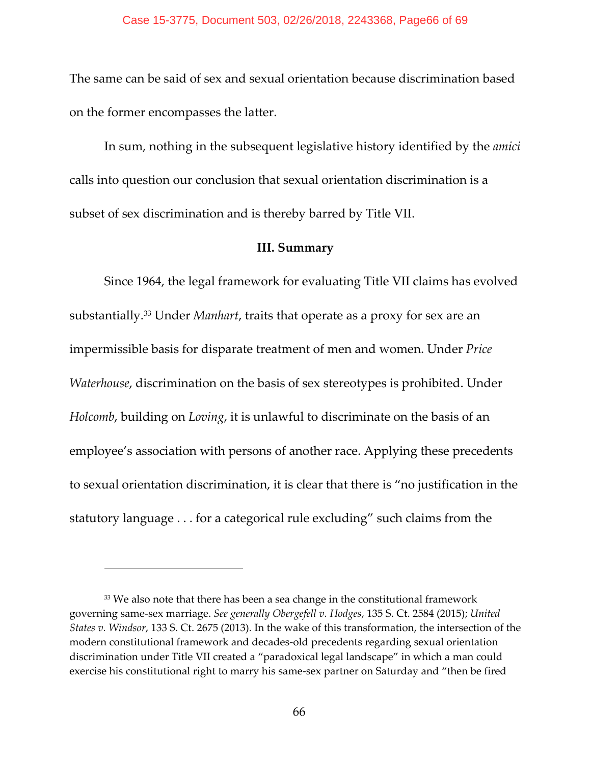The same can be said of sex and sexual orientation because discrimination based on the former encompasses the latter.

In sum, nothing in the subsequent legislative history identified by the *amici* calls into question our conclusion that sexual orientation discrimination is a subset of sex discrimination and is thereby barred by Title VII.

## **III. Summary**

Since 1964, the legal framework for evaluating Title VII claims has evolved substantially.33 Under *Manhart*, traits that operate as a proxy for sex are an impermissible basis for disparate treatment of men and women. Under *Price Waterhouse*, discrimination on the basis of sex stereotypes is prohibited. Under *Holcomb*, building on *Loving*, it is unlawful to discriminate on the basis of an employee's association with persons of another race. Applying these precedents to sexual orientation discrimination, it is clear that there is "no justification in the statutory language . . . for a categorical rule excluding" such claims from the

<sup>&</sup>lt;sup>33</sup> We also note that there has been a sea change in the constitutional framework governing same‐sex marriage. *See generally Obergefell v. Hodges*, 135 S. Ct. 2584 (2015); *United States v. Windsor*, 133 S. Ct. 2675 (2013). In the wake of this transformation, the intersection of the modern constitutional framework and decades‐old precedents regarding sexual orientation discrimination under Title VII created a "paradoxical legal landscape" in which a man could exercise his constitutional right to marry his same‐sex partner on Saturday and "then be fired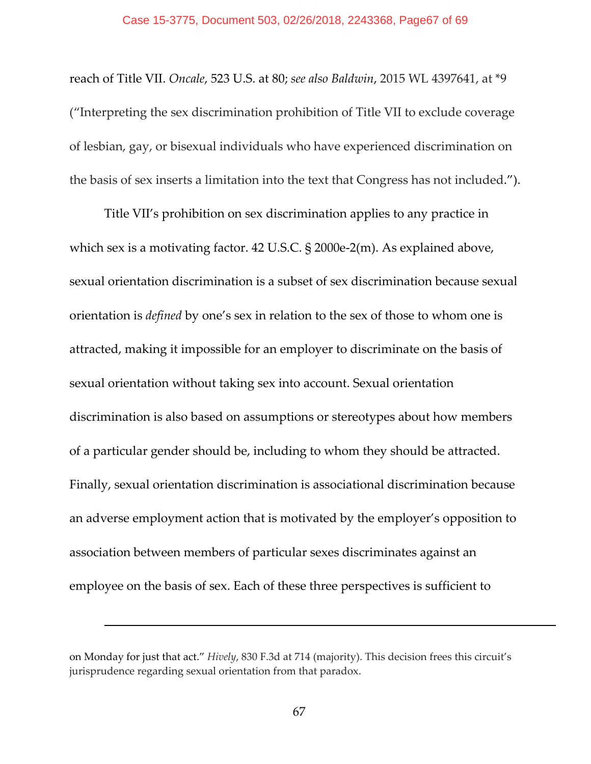reach of Title VII. *Oncale*, 523 U.S. at 80; *see also Baldwin*, 2015 WL 4397641, at \*9 ("Interpreting the sex discrimination prohibition of Title VII to exclude coverage of lesbian, gay, or bisexual individuals who have experienced discrimination on the basis of sex inserts a limitation into the text that Congress has not included.").

Title VII's prohibition on sex discrimination applies to any practice in which sex is a motivating factor. 42 U.S.C. § 2000e-2(m). As explained above, sexual orientation discrimination is a subset of sex discrimination because sexual orientation is *defined* by one's sex in relation to the sex of those to whom one is attracted, making it impossible for an employer to discriminate on the basis of sexual orientation without taking sex into account. Sexual orientation discrimination is also based on assumptions or stereotypes about how members of a particular gender should be, including to whom they should be attracted. Finally, sexual orientation discrimination is associational discrimination because an adverse employment action that is motivated by the employer's opposition to association between members of particular sexes discriminates against an employee on the basis of sex. Each of these three perspectives is sufficient to

on Monday for just that act." *Hively*, 830 F.3d at 714 (majority). This decision frees this circuit's jurisprudence regarding sexual orientation from that paradox.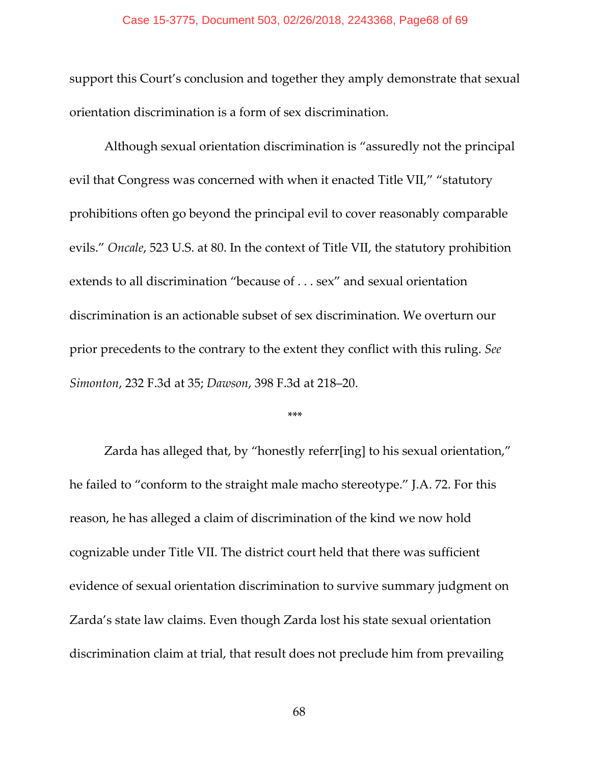#### Case 15-3775, Document 503, 02/26/2018, 2243368, Page68 of 69

support this Court's conclusion and together they amply demonstrate that sexual orientation discrimination is a form of sex discrimination.

Although sexual orientation discrimination is "assuredly not the principal evil that Congress was concerned with when it enacted Title VII," "statutory prohibitions often go beyond the principal evil to cover reasonably comparable evils." *Oncale*, 523 U.S. at 80. In the context of Title VII, the statutory prohibition extends to all discrimination "because of . . . sex" and sexual orientation discrimination is an actionable subset of sex discrimination. We overturn our prior precedents to the contrary to the extent they conflict with this ruling. *See Simonton*, 232 F.3d at 35; *Dawson*, 398 F.3d at 218–20.

#### \*\*\*

Zarda has alleged that, by "honestly referr[ing] to his sexual orientation," he failed to "conform to the straight male macho stereotype." J.A. 72. For this reason, he has alleged a claim of discrimination of the kind we now hold cognizable under Title VII. The district court held that there was sufficient evidence of sexual orientation discrimination to survive summary judgment on Zarda's state law claims. Even though Zarda lost his state sexual orientation discrimination claim at trial, that result does not preclude him from prevailing